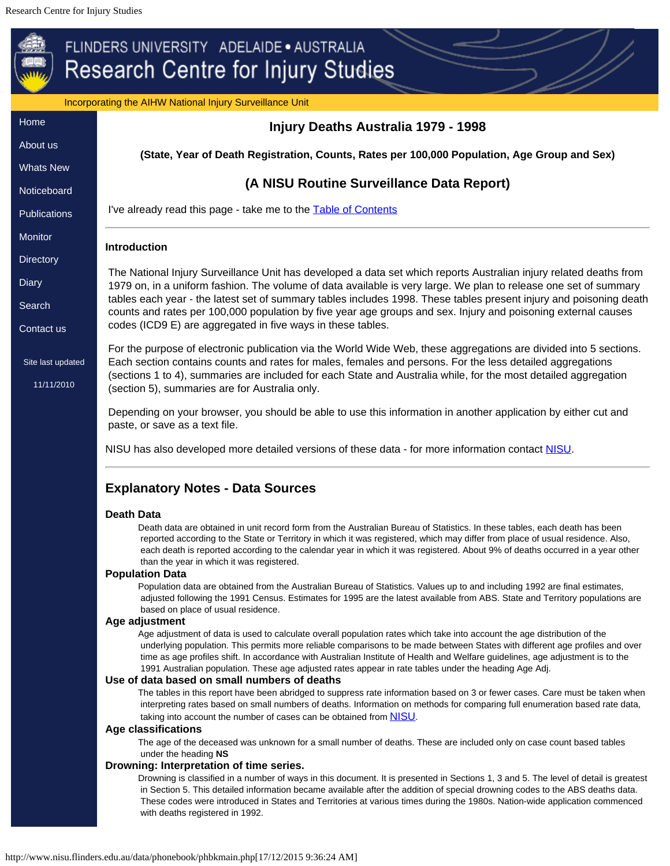Incorporating the AIHW National Injury Surveillance Unit

<span id="page-0-1"></span><span id="page-0-0"></span>

| Home                            | Injury Deaths Australia 1979 - 1998                                                                                                                                                                                                                                                                                                                                                                                                                                                                 |
|---------------------------------|-----------------------------------------------------------------------------------------------------------------------------------------------------------------------------------------------------------------------------------------------------------------------------------------------------------------------------------------------------------------------------------------------------------------------------------------------------------------------------------------------------|
| About us                        |                                                                                                                                                                                                                                                                                                                                                                                                                                                                                                     |
| <b>Whats New</b>                | (State, Year of Death Registration, Counts, Rates per 100,000 Population, Age Group and Sex)                                                                                                                                                                                                                                                                                                                                                                                                        |
| Noticeboard                     | (A NISU Routine Surveillance Data Report)                                                                                                                                                                                                                                                                                                                                                                                                                                                           |
| <b>Publications</b>             | I've already read this page - take me to the <b>Table of Contents</b>                                                                                                                                                                                                                                                                                                                                                                                                                               |
| Monitor                         | <b>Introduction</b>                                                                                                                                                                                                                                                                                                                                                                                                                                                                                 |
| <b>Directory</b>                |                                                                                                                                                                                                                                                                                                                                                                                                                                                                                                     |
| <b>Diary</b>                    | The National Injury Surveillance Unit has developed a data set which reports Australian injury related deaths from<br>1979 on, in a uniform fashion. The volume of data available is very large. We plan to release one set of summary                                                                                                                                                                                                                                                              |
| Search                          | tables each year - the latest set of summary tables includes 1998. These tables present injury and poisoning death                                                                                                                                                                                                                                                                                                                                                                                  |
|                                 | counts and rates per 100,000 population by five year age groups and sex. Injury and poisoning external causes                                                                                                                                                                                                                                                                                                                                                                                       |
| Contact us                      | codes (ICD9 E) are aggregated in five ways in these tables.                                                                                                                                                                                                                                                                                                                                                                                                                                         |
| Site last updated<br>11/11/2010 | For the purpose of electronic publication via the World Wide Web, these aggregations are divided into 5 sections.<br>Each section contains counts and rates for males, females and persons. For the less detailed aggregations<br>(sections 1 to 4), summaries are included for each State and Australia while, for the most detailed aggregation<br>(section 5), summaries are for Australia only.                                                                                                 |
|                                 | Depending on your browser, you should be able to use this information in another application by either cut and<br>paste, or save as a text file.                                                                                                                                                                                                                                                                                                                                                    |
|                                 | NISU has also developed more detailed versions of these data - for more information contact NISU.                                                                                                                                                                                                                                                                                                                                                                                                   |
|                                 | <b>Explanatory Notes - Data Sources</b>                                                                                                                                                                                                                                                                                                                                                                                                                                                             |
|                                 | <b>Death Data</b>                                                                                                                                                                                                                                                                                                                                                                                                                                                                                   |
|                                 | Death data are obtained in unit record form from the Australian Bureau of Statistics. In these tables, each death has been<br>reported according to the State or Territory in which it was registered, which may differ from place of usual residence. Also,<br>each death is reported according to the calendar year in which it was registered. About 9% of deaths occurred in a year other<br>than the year in which it was registered.                                                          |
|                                 | <b>Population Data</b>                                                                                                                                                                                                                                                                                                                                                                                                                                                                              |
|                                 | Population data are obtained from the Australian Bureau of Statistics. Values up to and including 1992 are final estimates,<br>adjusted following the 1991 Census. Estimates for 1995 are the latest available from ABS. State and Territory populations are<br>based on place of usual residence.                                                                                                                                                                                                  |
|                                 | Age adjustment                                                                                                                                                                                                                                                                                                                                                                                                                                                                                      |
|                                 | Age adjustment of data is used to calculate overall population rates which take into account the age distribution of the<br>underlying population. This permits more reliable comparisons to be made between States with different age profiles and over<br>time as age profiles shift. In accordance with Australian Institute of Health and Welfare guidelines, age adjustment is to the<br>1991 Australian population. These age adjusted rates appear in rate tables under the heading Age Adj. |
|                                 | Use of data based on small numbers of deaths                                                                                                                                                                                                                                                                                                                                                                                                                                                        |
|                                 | The tables in this report have been abridged to suppress rate information based on 3 or fewer cases. Care must be taken when<br>interpreting rates based on small numbers of deaths. Information on methods for comparing full enumeration based rate data,<br>taking into account the number of cases can be obtained from <b>NISU</b> .                                                                                                                                                           |
|                                 | <b>Age classifications</b>                                                                                                                                                                                                                                                                                                                                                                                                                                                                          |
|                                 | The age of the deceased was unknown for a small number of deaths. These are included only on case count based tables                                                                                                                                                                                                                                                                                                                                                                                |
|                                 | under the heading NS<br>Drowning: Interpretation of time series.                                                                                                                                                                                                                                                                                                                                                                                                                                    |
|                                 | Drowning is classified in a number of ways in this document. It is presented in Sections 1, 3 and 5. The level of detail is greatest<br>in Section 5. This detailed information became available after the addition of special drowning codes to the ABS deaths data.<br>These codes were introduced in States and Territories at various times during the 1980s. Nation-wide application commenced<br>with deaths registered in 1992.                                                              |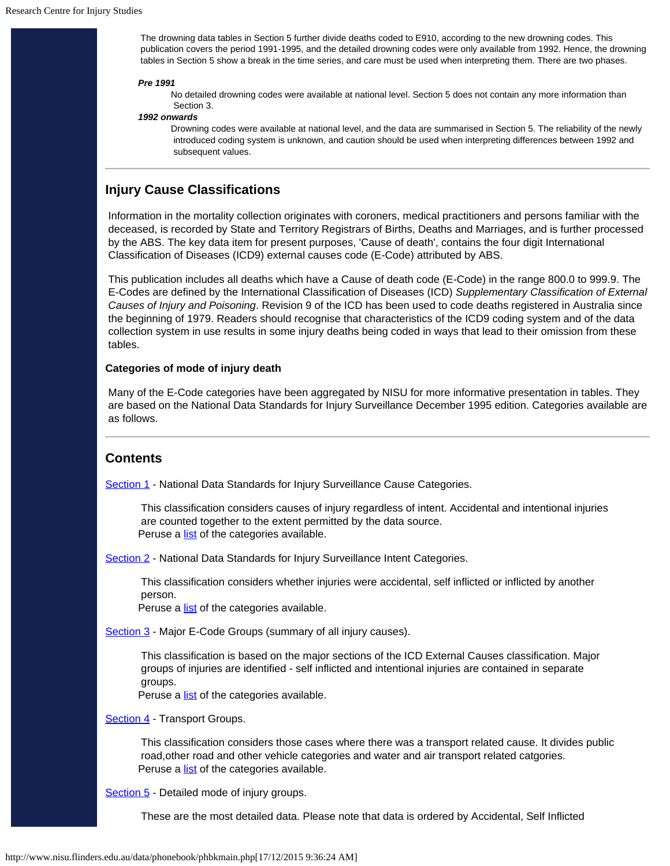The drowning data tables in Section 5 further divide deaths coded to E910, according to the new drowning codes. This publication covers the period 1991-1995, and the detailed drowning codes were only available from 1992. Hence, the drowning tables in Section 5 show a break in the time series, and care must be used when interpreting them. There are two phases.

### *Pre 1991*

No detailed drowning codes were available at national level. Section 5 does not contain any more information than Section 3.

#### *1992 onwards*

Drowning codes were available at national level, and the data are summarised in Section 5. The reliability of the newly introduced coding system is unknown, and caution should be used when interpreting differences between 1992 and subsequent values.

# **Injury Cause Classifications**

 Information in the mortality collection originates with coroners, medical practitioners and persons familiar with the deceased, is recorded by State and Territory Registrars of Births, Deaths and Marriages, and is further processed by the ABS. The key data item for present purposes, 'Cause of death', contains the four digit International Classification of Diseases (ICD9) external causes code (E-Code) attributed by ABS.

 This publication includes all deaths which have a Cause of death code (E-Code) in the range 800.0 to 999.9. The E-Codes are defined by the International Classification of Diseases (ICD) *Supplementary Classification of External Causes of Injury and Poisoning*. Revision 9 of the ICD has been used to code deaths registered in Australia since the beginning of 1979. Readers should recognise that characteristics of the ICD9 coding system and of the data collection system in use results in some injury deaths being coded in ways that lead to their omission from these tables.

### **Categories of mode of injury death**

 Many of the E-Code categories have been aggregated by NISU for more informative presentation in tables. They are based on the National Data Standards for Injury Surveillance December 1995 edition. Categories available are as follows.

## <span id="page-1-0"></span>**Contents**

[Section 1](#page-3-0) - National Data Standards for Injury Surveillance Cause Categories.

 This classification considers causes of injury regardless of intent. Accidental and intentional injuries are counted together to the extent permitted by the data source. Peruse a [list](#page-7-0) of the categories available.

[Section 2](#page-8-0) - National Data Standards for Injury Surveillance Intent Categories.

This classification considers whether injuries were accidental, self inflicted or inflicted by another person.

Peruse a **[list](#page-10-0)** of the categories available.

[Section 3](#page-11-0) - Major E-Code Groups (summary of all injury causes).

This classification is based on the major sections of the ICD External Causes classification. Major groups of injuries are identified - self inflicted and intentional injuries are contained in separate groups.

Peruse a **[list](#page-13-0)** of the categories available.

[Section 4](#page-14-0) - Transport Groups.

This classification considers those cases where there was a transport related cause. It divides public road,other road and other vehicle categories and water and air transport related catgories. Peruse a **[list](#page-16-0)** of the categories available.

[Section 5](#page-17-0) - Detailed mode of injury groups.

These are the most detailed data. Please note that data is ordered by Accidental, Self Inflicted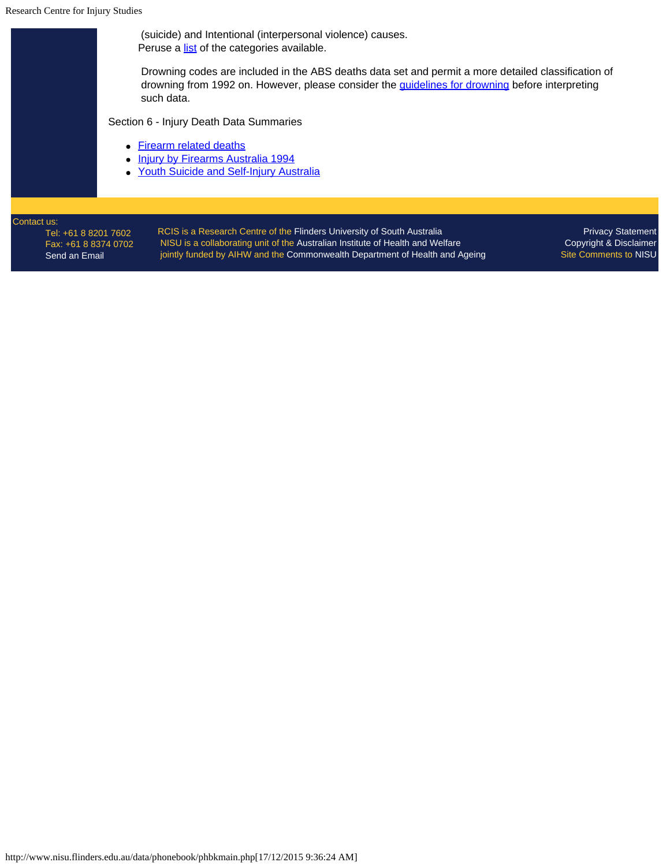[Send an Email](mailto:nisu@flinders.edu.au)

 (suicide) and Intentional (interpersonal violence) causes. Peruse a [list](#page-20-0) of the categories available. Drowning codes are included in the ABS deaths data set and permit a more detailed classification of drowning from 1992 on. However, please consider the *quidelines for drowning* before interpreting such data. Section 6 - Injury Death Data Summaries • [Firearm related deaths](#page-21-0) **[Injury by Firearms Australia 1994](#page-22-0)**  $\bullet$ • [Youth Suicide and Self-Injury Australia](http://www.nisu.flinders.edu.au/pubs/bulletin15/bulletin15sup.html) Contact us: [Privacy Statement](http://www.nisu.flinders.edu.au/privacy.php) RCIS is a Research Centre of the [Flinders University of South Australia](http://www.flinders.edu.au/) Tel: +61 8 8201 7602 NISU is a collaborating unit of the [Australian Institute of Health and Welfare](http://www.aihw.gov.au/) [Copyright & Disclaimer](http://www.nisu.flinders.edu.au/copy.php) Fax: +61 8 8374 0702 jointly funded by AIHW and the [Commonwealth Department of Health and Ageing](http://www.health.gov.au/) Site Comments to [NISU](mailto:nisu@flinders.edu.au)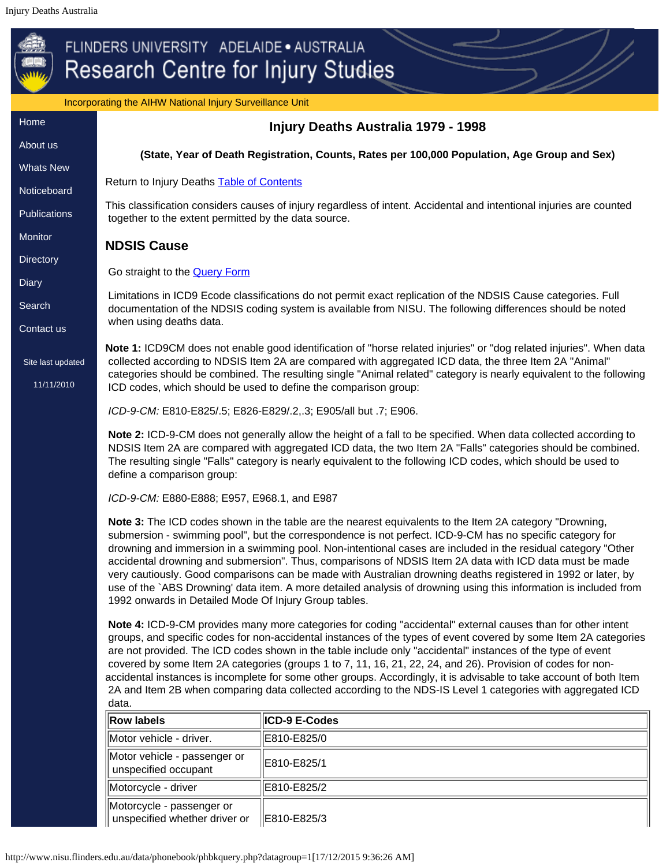<span id="page-3-0"></span>

|                     | Incorporating the AIHW National Injury Surveillance Unit                                                                                                                                                                                                                                                                                                                                                                                                                                                                                                                                                                                                                                                                                        |                                                                                                                                                                                                                             |  |
|---------------------|-------------------------------------------------------------------------------------------------------------------------------------------------------------------------------------------------------------------------------------------------------------------------------------------------------------------------------------------------------------------------------------------------------------------------------------------------------------------------------------------------------------------------------------------------------------------------------------------------------------------------------------------------------------------------------------------------------------------------------------------------|-----------------------------------------------------------------------------------------------------------------------------------------------------------------------------------------------------------------------------|--|
| Home                | Injury Deaths Australia 1979 - 1998                                                                                                                                                                                                                                                                                                                                                                                                                                                                                                                                                                                                                                                                                                             |                                                                                                                                                                                                                             |  |
| About us            | (State, Year of Death Registration, Counts, Rates per 100,000 Population, Age Group and Sex)                                                                                                                                                                                                                                                                                                                                                                                                                                                                                                                                                                                                                                                    |                                                                                                                                                                                                                             |  |
| <b>Whats New</b>    |                                                                                                                                                                                                                                                                                                                                                                                                                                                                                                                                                                                                                                                                                                                                                 |                                                                                                                                                                                                                             |  |
| Noticeboard         | Return to Injury Deaths <b>Table of Contents</b>                                                                                                                                                                                                                                                                                                                                                                                                                                                                                                                                                                                                                                                                                                |                                                                                                                                                                                                                             |  |
| <b>Publications</b> | together to the extent permitted by the data source.                                                                                                                                                                                                                                                                                                                                                                                                                                                                                                                                                                                                                                                                                            | This classification considers causes of injury regardless of intent. Accidental and intentional injuries are counted                                                                                                        |  |
| Monitor             | <b>NDSIS Cause</b>                                                                                                                                                                                                                                                                                                                                                                                                                                                                                                                                                                                                                                                                                                                              |                                                                                                                                                                                                                             |  |
| <b>Directory</b>    | Go straight to the <b>Query Form</b>                                                                                                                                                                                                                                                                                                                                                                                                                                                                                                                                                                                                                                                                                                            |                                                                                                                                                                                                                             |  |
| <b>Diary</b>        |                                                                                                                                                                                                                                                                                                                                                                                                                                                                                                                                                                                                                                                                                                                                                 |                                                                                                                                                                                                                             |  |
| Search              |                                                                                                                                                                                                                                                                                                                                                                                                                                                                                                                                                                                                                                                                                                                                                 | Limitations in ICD9 Ecode classifications do not permit exact replication of the NDSIS Cause categories. Full<br>documentation of the NDSIS coding system is available from NISU. The following differences should be noted |  |
| Contact us          | when using deaths data.                                                                                                                                                                                                                                                                                                                                                                                                                                                                                                                                                                                                                                                                                                                         |                                                                                                                                                                                                                             |  |
|                     |                                                                                                                                                                                                                                                                                                                                                                                                                                                                                                                                                                                                                                                                                                                                                 | Note 1: ICD9CM does not enable good identification of "horse related injuries" or "dog related injuries". When data                                                                                                         |  |
| Site last updated   | collected according to NDSIS Item 2A are compared with aggregated ICD data, the three Item 2A "Animal"<br>categories should be combined. The resulting single "Animal related" category is nearly equivalent to the following<br>ICD codes, which should be used to define the comparison group:                                                                                                                                                                                                                                                                                                                                                                                                                                                |                                                                                                                                                                                                                             |  |
| 11/11/2010          |                                                                                                                                                                                                                                                                                                                                                                                                                                                                                                                                                                                                                                                                                                                                                 |                                                                                                                                                                                                                             |  |
|                     | ICD-9-CM: E810-E825/.5; E826-E829/.2,.3; E905/all but .7; E906.                                                                                                                                                                                                                                                                                                                                                                                                                                                                                                                                                                                                                                                                                 |                                                                                                                                                                                                                             |  |
|                     | Note 2: ICD-9-CM does not generally allow the height of a fall to be specified. When data collected according to<br>NDSIS Item 2A are compared with aggregated ICD data, the two Item 2A "Falls" categories should be combined.<br>The resulting single "Falls" category is nearly equivalent to the following ICD codes, which should be used to<br>define a comparison group:                                                                                                                                                                                                                                                                                                                                                                 |                                                                                                                                                                                                                             |  |
|                     | ICD-9-CM: E880-E888; E957, E968.1, and E987                                                                                                                                                                                                                                                                                                                                                                                                                                                                                                                                                                                                                                                                                                     |                                                                                                                                                                                                                             |  |
|                     | Note 3: The ICD codes shown in the table are the nearest equivalents to the Item 2A category "Drowning,<br>submersion - swimming pool", but the correspondence is not perfect. ICD-9-CM has no specific category for<br>drowning and immersion in a swimming pool. Non-intentional cases are included in the residual category "Other<br>accidental drowning and submersion". Thus, comparisons of NDSIS Item 2A data with ICD data must be made<br>very cautiously. Good comparisons can be made with Australian drowning deaths registered in 1992 or later, by<br>use of the `ABS Drowning' data item. A more detailed analysis of drowning using this information is included from<br>1992 onwards in Detailed Mode Of Injury Group tables. |                                                                                                                                                                                                                             |  |
|                     | Note 4: ICD-9-CM provides many more categories for coding "accidental" external causes than for other intent<br>groups, and specific codes for non-accidental instances of the types of event covered by some Item 2A categories<br>are not provided. The ICD codes shown in the table include only "accidental" instances of the type of event<br>covered by some Item 2A categories (groups 1 to 7, 11, 16, 21, 22, 24, and 26). Provision of codes for non-<br>accidental instances is incomplete for some other groups. Accordingly, it is advisable to take account of both Item<br>2A and Item 2B when comparing data collected according to the NDS-IS Level 1 categories with aggregated ICD<br>data.                                   |                                                                                                                                                                                                                             |  |
|                     | <b>Row labels</b>                                                                                                                                                                                                                                                                                                                                                                                                                                                                                                                                                                                                                                                                                                                               | ICD-9 E-Codes                                                                                                                                                                                                               |  |
|                     | Motor vehicle - driver.                                                                                                                                                                                                                                                                                                                                                                                                                                                                                                                                                                                                                                                                                                                         | E810-E825/0                                                                                                                                                                                                                 |  |
|                     | Motor vehicle - passenger or<br>E810-E825/1<br>unspecified occupant                                                                                                                                                                                                                                                                                                                                                                                                                                                                                                                                                                                                                                                                             |                                                                                                                                                                                                                             |  |

http://www.nisu.flinders.edu.au/data/phonebook/phbkquery.php?datagroup=1[17/12/2015 9:36:26 AM]

 $\vert$ Motorcycle - driver  $\vert$ E810-E825/2

unspecified whether driver or  $\left\| \right|$  E810-E825/3

Motorcycle - passenger or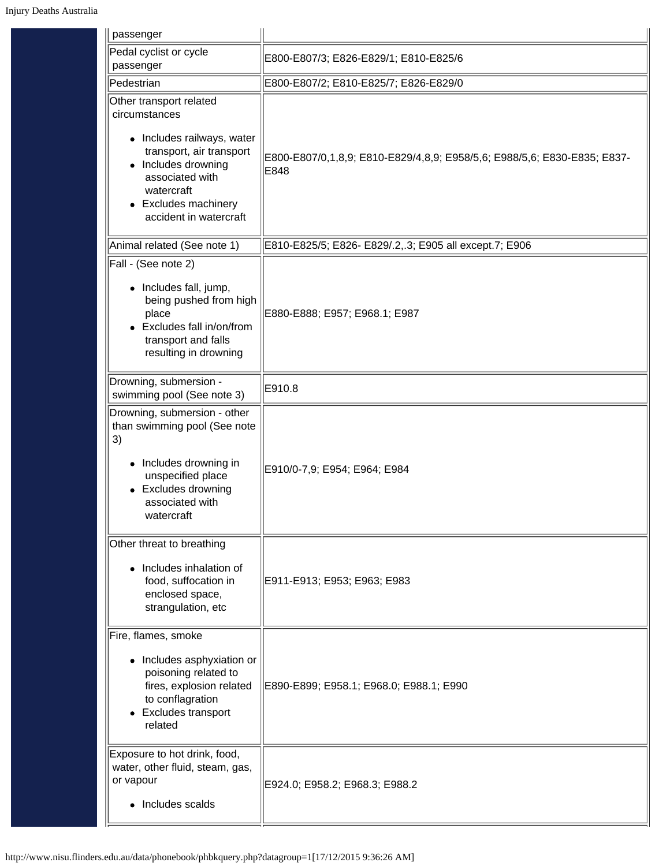| passenger                                                                                                                                                                                                       |                                                                                  |
|-----------------------------------------------------------------------------------------------------------------------------------------------------------------------------------------------------------------|----------------------------------------------------------------------------------|
| Pedal cyclist or cycle<br>passenger                                                                                                                                                                             | E800-E807/3; E826-E829/1; E810-E825/6                                            |
| Pedestrian                                                                                                                                                                                                      | E800-E807/2; E810-E825/7; E826-E829/0                                            |
| Other transport related<br>circumstances<br>• Includes railways, water<br>transport, air transport<br>Includes drowning<br>associated with<br>watercraft<br><b>Excludes machinery</b><br>accident in watercraft | E800-E807/0,1,8,9; E810-E829/4,8,9; E958/5,6; E988/5,6; E830-E835; E837-<br>E848 |
| Animal related (See note 1)                                                                                                                                                                                     | E810-E825/5; E826- E829/.2,.3; E905 all except.7; E906                           |
| Fall - (See note 2)<br>• Includes fall, jump,<br>being pushed from high<br>place<br>Excludes fall in/on/from<br>transport and falls<br>resulting in drowning                                                    | E880-E888; E957; E968.1; E987                                                    |
| Drowning, submersion -<br>swimming pool (See note 3)                                                                                                                                                            | E910.8                                                                           |
| Drowning, submersion - other<br>than swimming pool (See note<br>3)<br>• Includes drowning in<br>unspecified place<br><b>Excludes drowning</b><br>$\bullet$<br>associated with<br>watercraft                     | E910/0-7,9; E954; E964; E984                                                     |
| Other threat to breathing<br>Includes inhalation of<br>$\bullet$<br>food, suffocation in<br>enclosed space,<br>strangulation, etc                                                                               | E911-E913; E953; E963; E983                                                      |
| Fire, flames, smoke<br>• Includes asphyxiation or<br>poisoning related to<br>fires, explosion related<br>to conflagration<br><b>Excludes transport</b><br>$\bullet$<br>related                                  | E890-E899; E958.1; E968.0; E988.1; E990                                          |
| Exposure to hot drink, food,<br>water, other fluid, steam, gas,<br>or vapour<br>• Includes scalds                                                                                                               | E924.0; E958.2; E968.3; E988.2                                                   |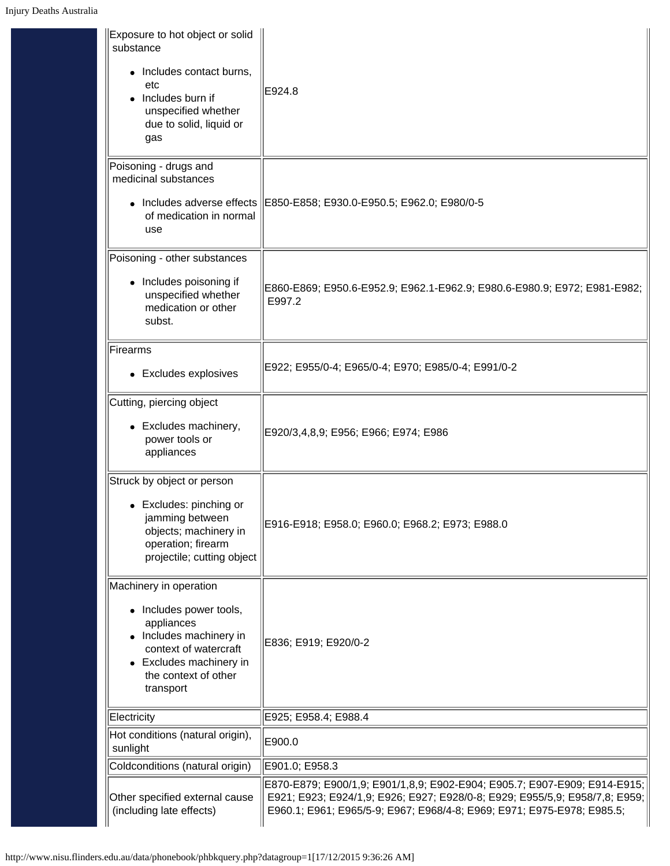| Exposure to hot object or solid<br>substance<br>• Includes contact burns,<br>etc<br>Includes burn if<br>unspecified whether<br>due to solid, liquid or<br>gas                       | E924.8                                                                                                                                                                                                                               |
|-------------------------------------------------------------------------------------------------------------------------------------------------------------------------------------|--------------------------------------------------------------------------------------------------------------------------------------------------------------------------------------------------------------------------------------|
| Poisoning - drugs and<br>medicinal substances<br>of medication in normal<br>use                                                                                                     | Includes adverse effects   E850-E858; E930.0-E950.5; E962.0; E980/0-5                                                                                                                                                                |
| Poisoning - other substances<br>• Includes poisoning if<br>unspecified whether<br>medication or other<br>subst.                                                                     | E860-E869; E950.6-E952.9; E962.1-E962.9; E980.6-E980.9; E972; E981-E982;<br>E997.2                                                                                                                                                   |
| Firearms<br>• Excludes explosives                                                                                                                                                   | E922; E955/0-4; E965/0-4; E970; E985/0-4; E991/0-2                                                                                                                                                                                   |
| Cutting, piercing object<br>• Excludes machinery,<br>power tools or<br>appliances                                                                                                   | E920/3,4,8,9; E956; E966; E974; E986                                                                                                                                                                                                 |
| Struck by object or person<br>• Excludes: pinching or<br>jamming between<br>objects; machinery in<br>operation; firearm<br>projectile; cutting object                               | E916-E918; E958.0; E960.0; E968.2; E973; E988.0                                                                                                                                                                                      |
| Machinery in operation<br>• Includes power tools,<br>appliances<br>• Includes machinery in<br>context of watercraft<br>• Excludes machinery in<br>the context of other<br>transport | E836; E919; E920/0-2                                                                                                                                                                                                                 |
| Electricity                                                                                                                                                                         | E925; E958.4; E988.4                                                                                                                                                                                                                 |
| Hot conditions (natural origin),<br>sunlight                                                                                                                                        | E900.0                                                                                                                                                                                                                               |
| Coldconditions (natural origin)                                                                                                                                                     | E901.0; E958.3                                                                                                                                                                                                                       |
| Other specified external cause<br>(including late effects)                                                                                                                          | E870-E879; E900/1,9; E901/1,8,9; E902-E904; E905.7; E907-E909; E914-E915;<br>E921; E923; E924/1,9; E926; E927; E928/0-8; E929; E955/5,9; E958/7,8; E959;  <br>E960.1; E961; E965/5-9; E967; E968/4-8; E969; E971; E975-E978; E985.5; |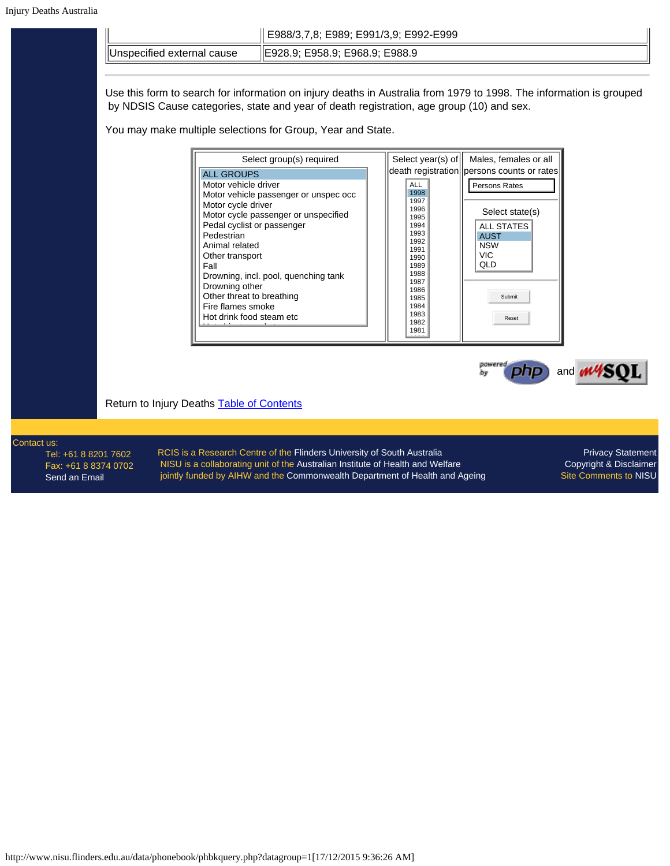<span id="page-6-0"></span>

| Australıa |                                                                                                | E988/3,7,8; E989; E991/3,9; E992-E999                                                                                                                                                                                                                                                                       |                                                                                                                                                                                                                                                                                                                                                                                      |
|-----------|------------------------------------------------------------------------------------------------|-------------------------------------------------------------------------------------------------------------------------------------------------------------------------------------------------------------------------------------------------------------------------------------------------------------|--------------------------------------------------------------------------------------------------------------------------------------------------------------------------------------------------------------------------------------------------------------------------------------------------------------------------------------------------------------------------------------|
|           | Unspecified external cause                                                                     | E928.9; E958.9; E968.9; E988.9                                                                                                                                                                                                                                                                              |                                                                                                                                                                                                                                                                                                                                                                                      |
|           |                                                                                                | You may make multiple selections for Group, Year and State.                                                                                                                                                                                                                                                 | Use this form to search for information on injury deaths in Australia from 1979 to 1998. The information is grouped<br>by NDSIS Cause categories, state and year of death registration, age group (10) and sex.                                                                                                                                                                      |
|           | <b>ALL GROUPS</b><br>Pedestrian<br>Animal related<br>Other transport<br>Fall<br>Drowning other | Select group(s) required<br>Motor vehicle driver<br>Motor vehicle passenger or unspec occ<br>Motor cycle driver<br>Motor cycle passenger or unspecified<br>Pedal cyclist or passenger<br>Drowning, incl. pool, quenching tank<br>Other threat to breathing<br>Fire flames smoke<br>Hot drink food steam etc | Select year(s) of<br>Males, females or all<br>death registration persons counts or rates<br><b>ALL</b><br>Persons Rates<br>1998<br>1997<br>1996<br>Select state(s)<br>1995<br>1994<br><b>ALL STATES</b><br>1993<br><b>AUST</b><br>1992<br><b>NSW</b><br>1991<br><b>VIC</b><br>1990<br>QLD<br>1989<br>1988<br>1987<br>1986<br>Submit<br>1985<br>1984<br>1983<br>Reset<br>1982<br>1981 |
|           | Return to Injury Deaths Table of Contents                                                      |                                                                                                                                                                                                                                                                                                             | and <b>M</b>                                                                                                                                                                                                                                                                                                                                                                         |
|           |                                                                                                |                                                                                                                                                                                                                                                                                                             |                                                                                                                                                                                                                                                                                                                                                                                      |

### Contact us:

Tel: +61 8 8201 7602 Fax: +61 8 8374 0702 [Send an Email](mailto:nisu@flinders.edu.au)

RCIS is a Research Centre of the [Flinders University of South Australia](http://www.flinders.edu.au/) NISU is a collaborating unit of the [Australian Institute of Health and Welfare](http://www.aihw.gov.au/) jointly funded by AIHW and the [Commonwealth Department of Health and Ageing](http://www.health.gov.au/)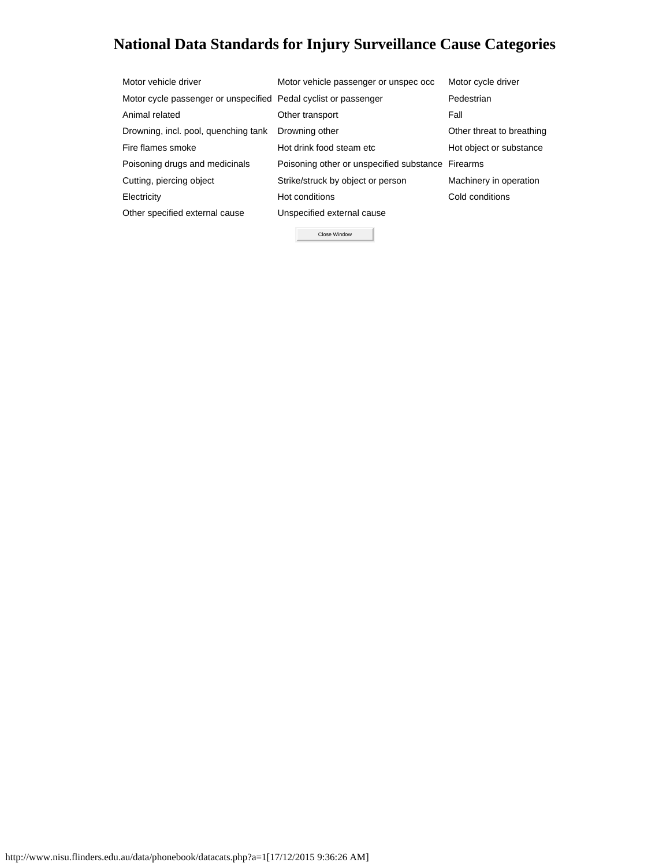# <span id="page-7-0"></span>**National Data Standards for Injury Surveillance Cause Categories**

| Motor vehicle driver                                            | Motor vehicle passenger or unspec occ             | Motor cycle driver        |
|-----------------------------------------------------------------|---------------------------------------------------|---------------------------|
| Motor cycle passenger or unspecified Pedal cyclist or passenger |                                                   | Pedestrian                |
| Animal related                                                  | Other transport                                   | Fall                      |
| Drowning, incl. pool, quenching tank                            | Drowning other                                    | Other threat to breathing |
| Fire flames smoke                                               | Hot drink food steam etc                          | Hot object or substance   |
| Poisoning drugs and medicinals                                  | Poisoning other or unspecified substance Firearms |                           |
| Cutting, piercing object                                        | Strike/struck by object or person                 | Machinery in operation    |
| Electricity                                                     | Hot conditions                                    | Cold conditions           |
| Other specified external cause                                  | Unspecified external cause                        |                           |
|                                                                 | Close Window                                      |                           |

http://www.nisu.flinders.edu.au/data/phonebook/datacats.php?a=1[17/12/2015 9:36:26 AM]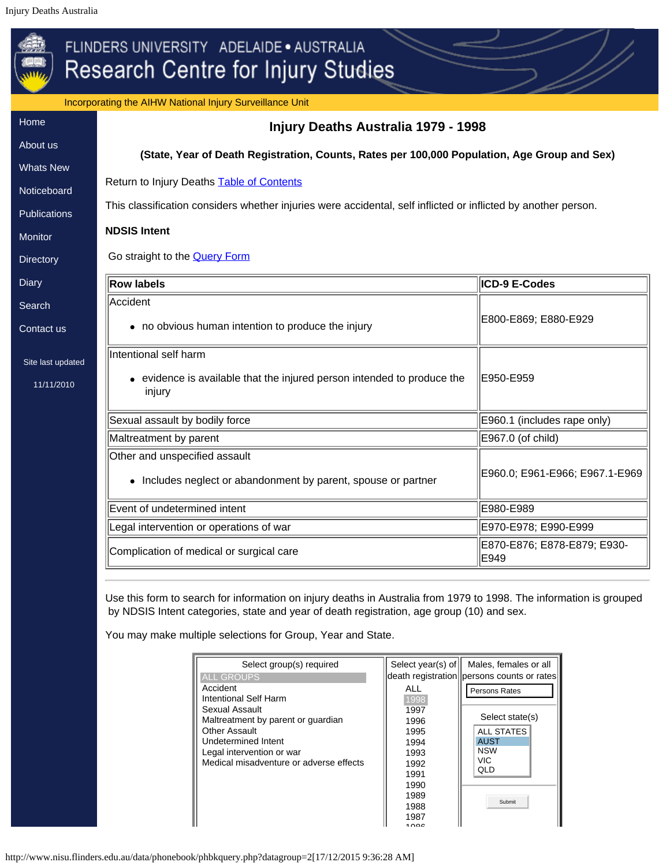<span id="page-8-0"></span>Incorporating the AIHW National Injury Surveillance Unit [Home](http://www.nisu.flinders.edu.au/index.php) **Injury Deaths Australia 1979 - 1998**

# [About](http://www.nisu.flinders.edu.au/about.php) us [Whats](http://www.nisu.flinders.edu.au/wotsnew.php) New **[Noticeboard](http://www.nisu.flinders.edu.au/nb.php) [Publications](http://www.nisu.flinders.edu.au/publications.php) [Monitor](http://www.nisu.flinders.edu.au/monitor/index.php) [Directory](http://www.nisu.flinders.edu.au/injdirect/index.php) [Diary](http://www.nisu.flinders.edu.au/diary.php) [Search](http://www.nisu.flinders.edu.au/search.php)** [Contact](http://www.nisu.flinders.edu.au/contact.php) us Site last updated [11/11/2010](http://www.nisu.flinders.edu.au/pubs/reports/2010/injcat134.php) **(State, Year of Death Registration, Counts, Rates per 100,000 Population, Age Group and Sex)** Return to Injury Deaths **Table of Contents** This classification considers whether injuries were accidental, self inflicted or inflicted by another person. **NDSIS Intent** Go straight to the **Query Form Row labels ICD-9 E-Codes** Accident • no obvious human intention to produce the injury  $||E800-E869; E880-E929$ Intentional self harm evidence is available that the injured person intended to produce the injury E950-E959 Sexual assault by bodily force **E960.1** (includes rape only) Maltreatment by parent **E967.0** (of child) Other and unspecified assault • Includes neglect or abandonment by parent, spouse or partner **E960.0; E961-E966; E967.1-E969** Event of undetermined intent E980-E989 Legal intervention or operations of war E970-E978; E990-E978; E990-E999 Complication of medical or surgical care  $\parallel$  E870-E876; E878-E879; E930-<br> $\parallel$  E870-E876; E878-E879; E930-E949

<span id="page-8-1"></span>Use this form to search for information on injury deaths in Australia from 1979 to 1998. The information is grouped by NDSIS Intent categories, state and year of death registration, age group (10) and sex.

You may make multiple selections for Group, Year and State.

| Select group(s) required                             | Select year(s) of | Males, females or all                      |
|------------------------------------------------------|-------------------|--------------------------------------------|
| <b>ALL GROUPS</b>                                    |                   | death registration persons counts or rates |
| Accident<br>Intentional Self Harm                    | ALL<br>1998       | Persons Rates                              |
| Sexual Assault<br>Maltreatment by parent or guardian | 1997<br>1996      | Select state(s)                            |
| Other Assault                                        | 1995              | <b>ALL STATES</b>                          |
| Undetermined Intent<br>Legal intervention or war     | 1994<br>1993      | <b>AUST</b><br><b>NSW</b>                  |
| Medical misadventure or adverse effects              | 1992<br>1991      | <b>VIC</b><br><b>QLD</b>                   |
|                                                      | 1990              |                                            |
|                                                      | 1989              | Submit                                     |
|                                                      | 1988<br>1987      |                                            |
|                                                      | ، مہ              |                                            |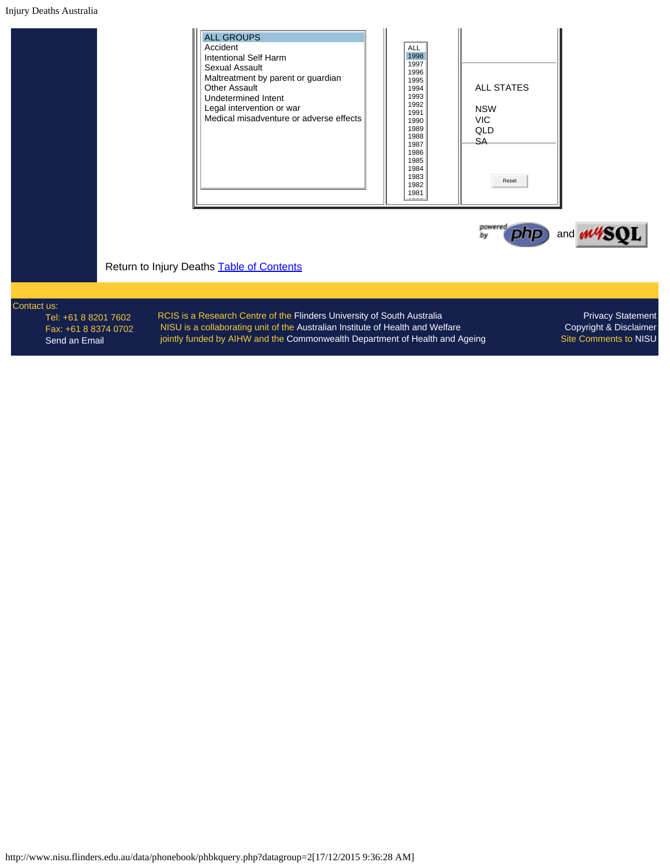### Injury Deaths Australia

| <b>ALL GROUPS</b><br>Accident<br>Intentional Self Harm<br>Sexual Assault<br>Maltreatment by parent or guardian<br>Other Assault<br>Undetermined Intent<br>Legal intervention or war<br>Medical misadventure or adverse effects | <b>ALL</b><br>1998<br>1997<br>1996<br>1995<br>1994<br>1993<br>1992<br>1991<br>1990<br>1989<br>1988<br>1987<br>1986<br>1985<br>1984<br>1983<br>1982<br>1981 | <b>ALL STATES</b><br><b>NSW</b><br><b>VIC</b><br><b>QLD</b><br>SA.<br>Reset |
|--------------------------------------------------------------------------------------------------------------------------------------------------------------------------------------------------------------------------------|------------------------------------------------------------------------------------------------------------------------------------------------------------|-----------------------------------------------------------------------------|
|--------------------------------------------------------------------------------------------------------------------------------------------------------------------------------------------------------------------------------|------------------------------------------------------------------------------------------------------------------------------------------------------------|-----------------------------------------------------------------------------|



Return to Injury Deaths **Table of Contents** 

# Contact us:

Tel: +61 8 8201 7602 Fax: +61 8 8374 0702 [Send an Email](mailto:nisu@flinders.edu.au)

RCIS is a Research Centre of the [Flinders University of South Australia](http://www.flinders.edu.au/) NISU is a collaborating unit of the [Australian Institute of Health and Welfare](http://www.aihw.gov.au/) jointly funded by AIHW and the [Commonwealth Department of Health and Ageing](http://www.health.gov.au/)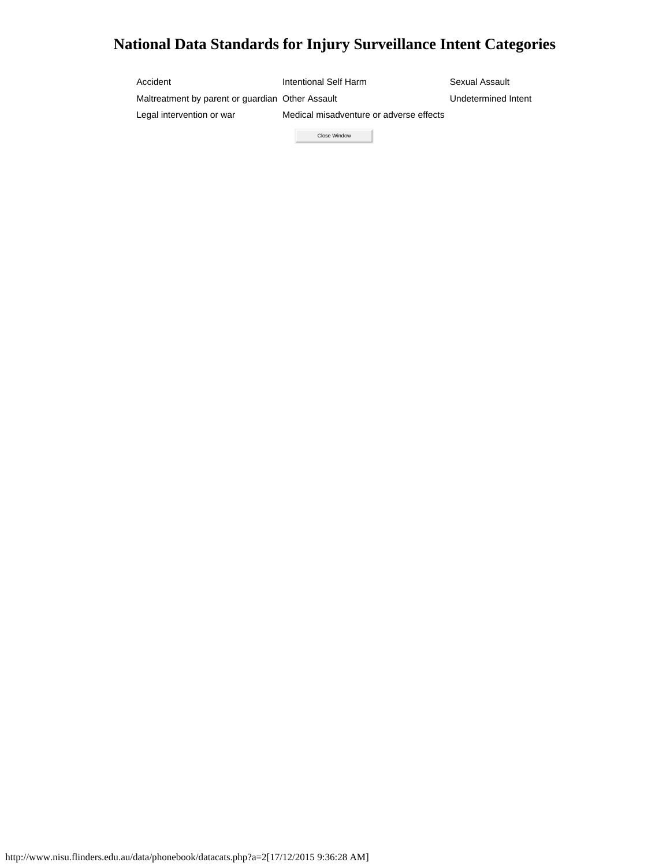# <span id="page-10-0"></span>**National Data Standards for Injury Surveillance Intent Categories**

| Accident                                         | Intentional Self Harm                   | Sexual Assault      |
|--------------------------------------------------|-----------------------------------------|---------------------|
| Maltreatment by parent or quardian Other Assault |                                         | Undetermined Intent |
| Legal intervention or war                        | Medical misadventure or adverse effects |                     |
|                                                  | Close Window                            |                     |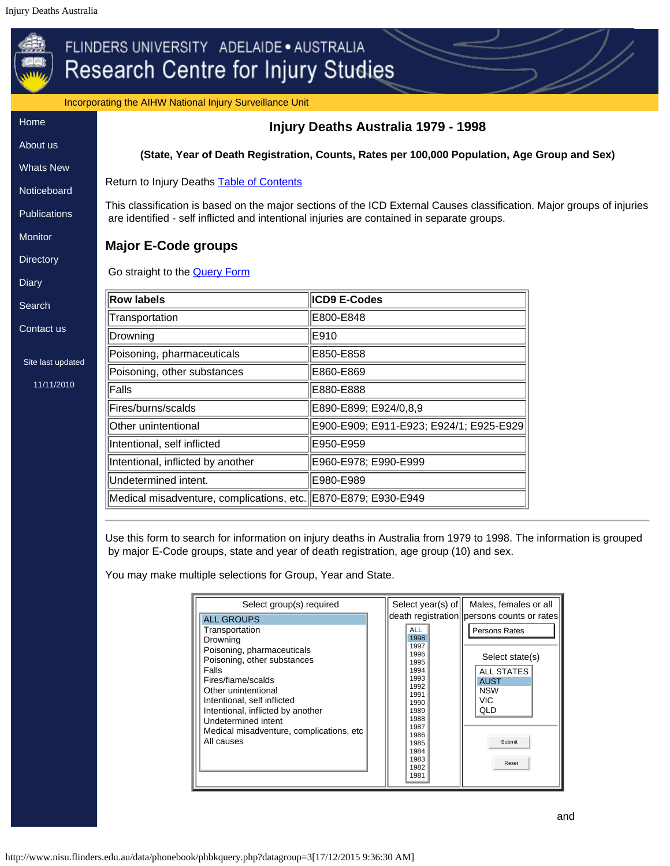Incorporating the AIHW National Injury Surveillance Unit

<span id="page-11-0"></span>

| incorporating the AIH w National Injury Surveillance Unit |                                                                                                                                                                                                                      |                                         |  |
|-----------------------------------------------------------|----------------------------------------------------------------------------------------------------------------------------------------------------------------------------------------------------------------------|-----------------------------------------|--|
| Home                                                      |                                                                                                                                                                                                                      | Injury Deaths Australia 1979 - 1998     |  |
| About us                                                  | (State, Year of Death Registration, Counts, Rates per 100,000 Population, Age Group and Sex)                                                                                                                         |                                         |  |
| <b>Whats New</b>                                          |                                                                                                                                                                                                                      |                                         |  |
| Noticeboard                                               | Return to Injury Deaths Table of Contents                                                                                                                                                                            |                                         |  |
| <b>Publications</b>                                       | This classification is based on the major sections of the ICD External Causes classification. Major groups of injuries<br>are identified - self inflicted and intentional injuries are contained in separate groups. |                                         |  |
| Monitor                                                   | <b>Major E-Code groups</b>                                                                                                                                                                                           |                                         |  |
| <b>Directory</b>                                          |                                                                                                                                                                                                                      |                                         |  |
| <b>Diary</b>                                              | Go straight to the <b>Query Form</b>                                                                                                                                                                                 |                                         |  |
| Search                                                    | <b>Row labels</b>                                                                                                                                                                                                    | <b>ICD9 E-Codes</b>                     |  |
|                                                           | Transportation                                                                                                                                                                                                       | E800-E848                               |  |
| Contact us                                                | Drowning                                                                                                                                                                                                             | E910                                    |  |
| Site last updated                                         | Poisoning, pharmaceuticals                                                                                                                                                                                           | E850-E858                               |  |
|                                                           | Poisoning, other substances                                                                                                                                                                                          | E860-E869                               |  |
| 11/11/2010                                                | Falls                                                                                                                                                                                                                | E880-E888                               |  |
|                                                           | Fires/burns/scalds                                                                                                                                                                                                   | E890-E899; E924/0,8,9                   |  |
|                                                           | Other unintentional                                                                                                                                                                                                  | E900-E909; E911-E923; E924/1; E925-E929 |  |
|                                                           | Intentional, self inflicted                                                                                                                                                                                          | E950-E959                               |  |
|                                                           | Intentional, inflicted by another                                                                                                                                                                                    | E960-E978; E990-E999                    |  |
|                                                           | Undetermined intent.                                                                                                                                                                                                 | E980-E989                               |  |
|                                                           | Medical misadventure, complications, etc. E870-E879; E930-E949                                                                                                                                                       |                                         |  |
|                                                           |                                                                                                                                                                                                                      |                                         |  |

<span id="page-11-1"></span>Use this form to search for information on injury deaths in Australia from 1979 to 1998. The information is grouped by major E-Code groups, state and year of death registration, age group (10) and sex.

You may make multiple selections for Group, Year and State.

|                                                                                                                                                                                                                                                                                                     | Select year(s) of                                                                                                                                   | Males, females or all                                                                                                      |
|-----------------------------------------------------------------------------------------------------------------------------------------------------------------------------------------------------------------------------------------------------------------------------------------------------|-----------------------------------------------------------------------------------------------------------------------------------------------------|----------------------------------------------------------------------------------------------------------------------------|
| <b>ALL GROUPS</b>                                                                                                                                                                                                                                                                                   |                                                                                                                                                     | death registration   persons counts or rates                                                                               |
| Transportation<br>Drowning<br>Poisoning, pharmaceuticals<br>Poisoning, other substances<br>Falls<br>Fires/flame/scalds<br>Other unintentional<br>Intentional, self inflicted<br>Intentional, inflicted by another<br>Undetermined intent<br>Medical misadventure, complications, etc.<br>All causes | ALL<br>1998<br>1997<br>1996<br>1995<br>1994<br>1993<br>1992<br>1991<br>1990<br>1989<br>1988<br>1987<br>1986<br>1985<br>1984<br>1983<br>1982<br>1981 | Persons Rates<br>Select state(s)<br><b>ALL STATES</b><br><b>AUST</b><br><b>NSW</b><br><b>VIC</b><br>QLD<br>Submit<br>Reset |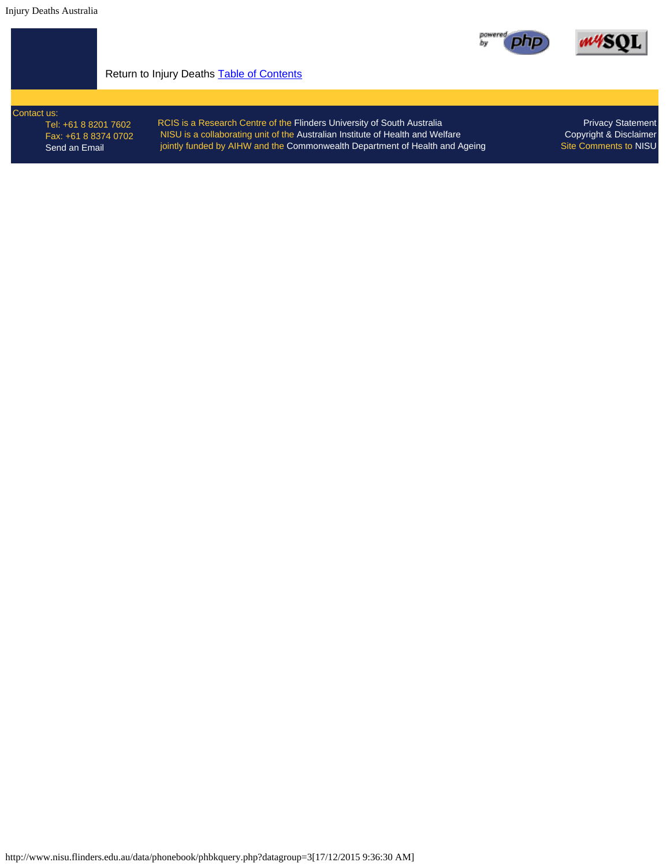



## Return to Injury Deaths **Table of Contents**

Contact us: Tel: +61 8 8201 7602 Fax: +61 8 8374 0702 [Send an Email](mailto:nisu@flinders.edu.au)

RCIS is a Research Centre of the [Flinders University of South Australia](http://www.flinders.edu.au/) NISU is a collaborating unit of the [Australian Institute of Health and Welfare](http://www.aihw.gov.au/) jointly funded by AIHW and the [Commonwealth Department of Health and Ageing](http://www.health.gov.au/)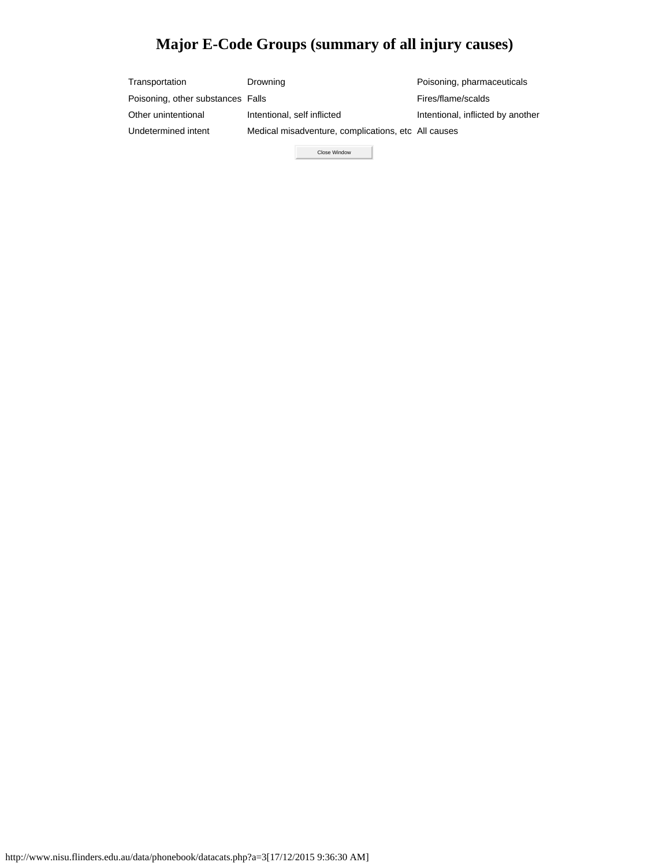# **Major E-Code Groups (summary of all injury causes)**

<span id="page-13-0"></span>

| Transportation                    | Drowning                                            | Poisoning, pharmaceuticals        |
|-----------------------------------|-----------------------------------------------------|-----------------------------------|
| Poisoning, other substances Falls |                                                     | Fires/flame/scalds                |
| Other unintentional               | Intentional, self inflicted                         | Intentional, inflicted by another |
| Undetermined intent               | Medical misadventure, complications, etc All causes |                                   |
|                                   |                                                     |                                   |

Close Window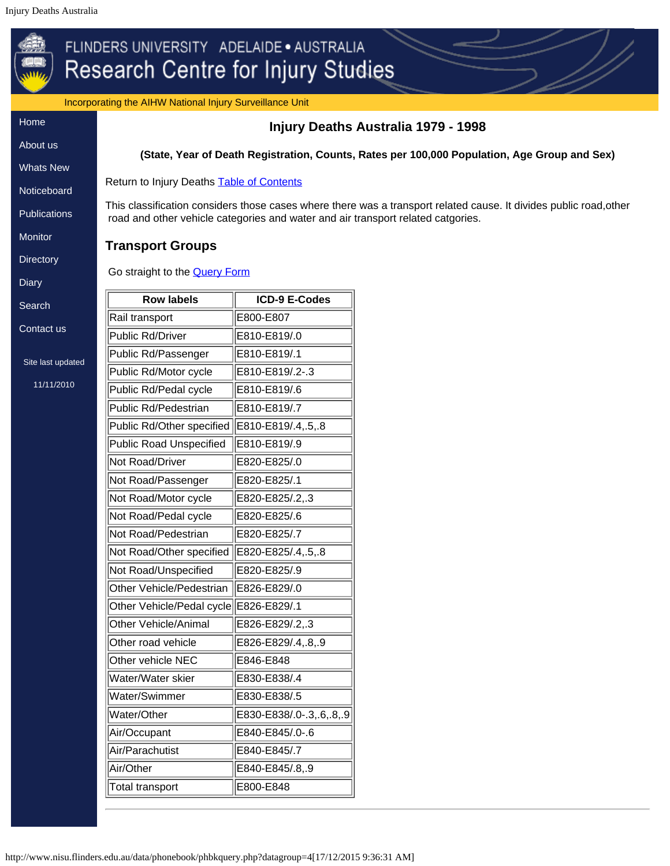<span id="page-14-0"></span>Incorporating the AIHW National Injury Surveillance Unit

[Home](http://www.nisu.flinders.edu.au/index.php) [About](http://www.nisu.flinders.edu.au/about.php) us

[Whats](http://www.nisu.flinders.edu.au/wotsnew.php) New

**[Noticeboard](http://www.nisu.flinders.edu.au/nb.php)** 

**[Publications](http://www.nisu.flinders.edu.au/publications.php)** 

**[Monitor](http://www.nisu.flinders.edu.au/monitor/index.php)** 

**[Directory](http://www.nisu.flinders.edu.au/injdirect/index.php)** 

**[Diary](http://www.nisu.flinders.edu.au/diary.php)** 

**[Search](http://www.nisu.flinders.edu.au/search.php)** 

[Contact](http://www.nisu.flinders.edu.au/contact.php) us

Site last up

# **Injury Deaths Australia 1979 - 1998**

**(State, Year of Death Registration, Counts, Rates per 100,000 Population, Age Group and Sex)**

Return to Injury Deaths **Table of Contents** 

This classification considers those cases where there was a transport related cause. It divides public road,other road and other vehicle categories and water and air transport related catgories.

# **Transport Groups**

Go straight to the [Query Form](#page-15-0)

| . у            |                                |                         |
|----------------|--------------------------------|-------------------------|
| arch           | <b>Row labels</b>              | <b>ICD-9 E-Codes</b>    |
|                | Rail transport                 | E800-E807               |
| ntact us       | <b>Public Rd/Driver</b>        | E810-E819/.0            |
| e last updated | Public Rd/Passenger            | E810-E819/.1            |
|                | Public Rd/Motor cycle          | E810-E819/.2-.3         |
| 11/11/2010     | Public Rd/Pedal cycle          | E810-E819/.6            |
|                | <b>Public Rd/Pedestrian</b>    | E810-E819/.7            |
|                | Public Rd/Other specified      | E810-E819/.4,.5,.8      |
|                | <b>Public Road Unspecified</b> | E810-E819/.9            |
|                | Not Road/Driver                | E820-E825/.0            |
|                | Not Road/Passenger             | E820-E825/.1            |
|                | Not Road/Motor cycle           | E820-E825/.2,.3         |
|                | Not Road/Pedal cycle           | E820-E825/.6            |
|                | Not Road/Pedestrian            | E820-E825/.7            |
|                | Not Road/Other specified       | E820-E825/.4,.5,.8      |
|                | Not Road/Unspecified           | E820-E825/.9            |
|                | Other Vehicle/Pedestrian       | E826-E829/.0            |
|                | Other Vehicle/Pedal cycle      | E826-E829/.1            |
|                | Other Vehicle/Animal           | E826-E829/.2,.3         |
|                | Other road vehicle             | E826-E829/.4,.8,.9      |
|                | Other vehicle NEC              | E846-E848               |
|                | Water/Water skier              | E830-E838/.4            |
|                | Water/Swimmer                  | E830-E838/.5            |
|                | Water/Other                    | E830-E838/0-.3,.6,.8,.9 |
|                | Air/Occupant                   | E840-E845/.0-.6         |
|                | Air/Parachutist                | E840-E845/.7            |
|                | Air/Other                      | E840-E845/.8,.9         |
|                | <b>Total transport</b>         | E800-E848               |
|                |                                |                         |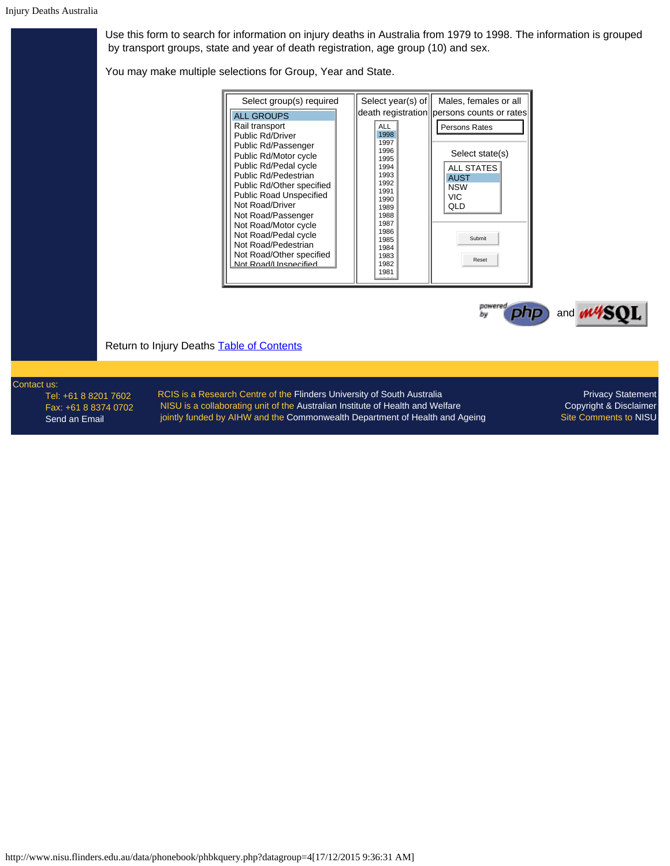<span id="page-15-0"></span>Use this form to search for information on injury deaths in Australia from 1979 to 1998. The information is grouped by transport groups, state and year of death registration, age group (10) and sex.

You may make multiple selections for Group, Year and State.

| Select group(s) required                         | Select year(s) of | Males, females or all                        |
|--------------------------------------------------|-------------------|----------------------------------------------|
| <b>ALL GROUPS</b>                                |                   | death registration   persons counts or rates |
| Rail transport                                   | ALL               | Persons Rates                                |
| Public Rd/Driver                                 | 1998<br>1997      |                                              |
| Public Rd/Passenger                              | 1996              | Select state(s)                              |
| Public Rd/Motor cycle                            | 1995              |                                              |
| Public Rd/Pedal cycle<br>Public Rd/Pedestrian    | 1994<br>1993      | <b>ALL STATES</b>                            |
| Public Rd/Other specified                        | 1992              | <b>AUST</b><br><b>NSW</b>                    |
| <b>Public Road Unspecified</b>                   | 1991              | <b>VIC</b>                                   |
| Not Road/Driver                                  | 1990<br>1989      | QLD                                          |
| Not Road/Passenger                               | 1988              |                                              |
| Not Road/Motor cycle                             | 1987<br>1986      |                                              |
| Not Road/Pedal cycle                             | 1985              | Submit                                       |
| Not Road/Pedestrian                              | 1984              |                                              |
| Not Road/Other specified<br>Not Road/Hospecified | 1983<br>1982      | Reset                                        |
|                                                  | 1981              |                                              |
|                                                  |                   |                                              |



Return to Injury Deaths **Table of Contents** 

Contact us:

Tel: +61 8 8201 7602 Fax: +61 8 8374 0702 [Send an Email](mailto:nisu@flinders.edu.au)

RCIS is a Research Centre of the [Flinders University of South Australia](http://www.flinders.edu.au/) NISU is a collaborating unit of the [Australian Institute of Health and Welfare](http://www.aihw.gov.au/) jointly funded by AIHW and the [Commonwealth Department of Health and Ageing](http://www.health.gov.au/)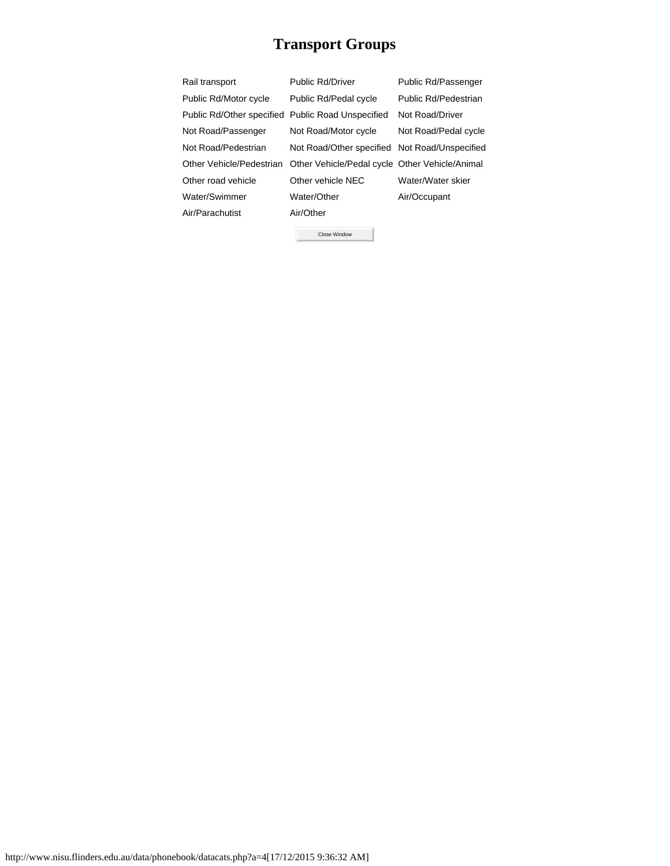# **Transport Groups**

<span id="page-16-0"></span>

| Rail transport                                    | Public Rd/Driver                               | Public Rd/Passenger  |
|---------------------------------------------------|------------------------------------------------|----------------------|
| Public Rd/Motor cycle                             | Public Rd/Pedal cycle                          | Public Rd/Pedestrian |
| Public Rd/Other specified Public Road Unspecified |                                                | Not Road/Driver      |
| Not Road/Passenger                                | Not Road/Motor cycle                           | Not Road/Pedal cycle |
| Not Road/Pedestrian                               | Not Road/Other specified Not Road/Unspecified  |                      |
| Other Vehicle/Pedestrian                          | Other Vehicle/Pedal cycle Other Vehicle/Animal |                      |
| Other road vehicle                                | Other vehicle NEC                              | Water/Water skier    |
| Water/Swimmer                                     | Water/Other                                    | Air/Occupant         |
| Air/Parachutist                                   | Air/Other                                      |                      |
|                                                   |                                                |                      |

Close Window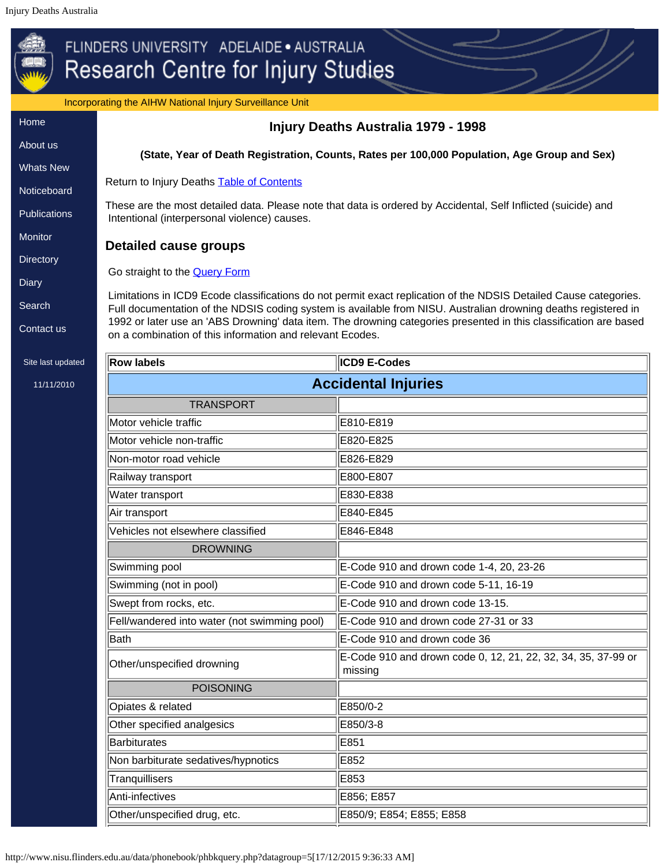<span id="page-17-0"></span>

|                                        | Incorporating the AIHW National Injury Surveillance Unit                                     |                                                                                                                                                                                                                                     |  |  |  |
|----------------------------------------|----------------------------------------------------------------------------------------------|-------------------------------------------------------------------------------------------------------------------------------------------------------------------------------------------------------------------------------------|--|--|--|
|                                        |                                                                                              | Injury Deaths Australia 1979 - 1998                                                                                                                                                                                                 |  |  |  |
| About us                               | (State, Year of Death Registration, Counts, Rates per 100,000 Population, Age Group and Sex) |                                                                                                                                                                                                                                     |  |  |  |
| <b>Whats New</b>                       |                                                                                              |                                                                                                                                                                                                                                     |  |  |  |
| Noticeboard                            | Return to Injury Deaths <b>Table of Contents</b>                                             |                                                                                                                                                                                                                                     |  |  |  |
|                                        | Intentional (interpersonal violence) causes.                                                 | These are the most detailed data. Please note that data is ordered by Accidental, Self Inflicted (suicide) and                                                                                                                      |  |  |  |
|                                        | <b>Detailed cause groups</b>                                                                 |                                                                                                                                                                                                                                     |  |  |  |
|                                        | Go straight to the <b>Query Form</b>                                                         |                                                                                                                                                                                                                                     |  |  |  |
|                                        |                                                                                              |                                                                                                                                                                                                                                     |  |  |  |
|                                        |                                                                                              | Limitations in ICD9 Ecode classifications do not permit exact replication of the NDSIS Detailed Cause categories.<br>Full documentation of the NDSIS coding system is available from NISU. Australian drowning deaths registered in |  |  |  |
|                                        | on a combination of this information and relevant Ecodes.                                    | 1992 or later use an 'ABS Drowning' data item. The drowning categories presented in this classification are based                                                                                                                   |  |  |  |
| <b>Row labels</b><br>Site last updated |                                                                                              | ICD9 E-Codes                                                                                                                                                                                                                        |  |  |  |
|                                        |                                                                                              | <b>Accidental Injuries</b>                                                                                                                                                                                                          |  |  |  |
|                                        | <b>TRANSPORT</b>                                                                             |                                                                                                                                                                                                                                     |  |  |  |
|                                        | Motor vehicle traffic                                                                        | E810-E819                                                                                                                                                                                                                           |  |  |  |
|                                        | Motor vehicle non-traffic                                                                    | E820-E825                                                                                                                                                                                                                           |  |  |  |
|                                        | Non-motor road vehicle                                                                       | E826-E829                                                                                                                                                                                                                           |  |  |  |
|                                        | E800-E807<br>Railway transport                                                               |                                                                                                                                                                                                                                     |  |  |  |
|                                        | Water transport                                                                              | E830-E838                                                                                                                                                                                                                           |  |  |  |
| Air transport                          |                                                                                              | E840-E845                                                                                                                                                                                                                           |  |  |  |
|                                        | Vehicles not elsewhere classified                                                            | E846-E848                                                                                                                                                                                                                           |  |  |  |
|                                        | <b>DROWNING</b>                                                                              |                                                                                                                                                                                                                                     |  |  |  |
| Swimming pool                          |                                                                                              | E-Code 910 and drown code 1-4, 20, 23-26                                                                                                                                                                                            |  |  |  |
|                                        | Swimming (not in pool)                                                                       | E-Code 910 and drown code 5-11, 16-19                                                                                                                                                                                               |  |  |  |
|                                        | Swept from rocks, etc.                                                                       | E-Code 910 and drown code 13-15.                                                                                                                                                                                                    |  |  |  |
|                                        | Fell/wandered into water (not swimming pool)                                                 | E-Code 910 and drown code 27-31 or 33                                                                                                                                                                                               |  |  |  |
| <b>Bath</b>                            |                                                                                              | E-Code 910 and drown code 36                                                                                                                                                                                                        |  |  |  |
|                                        | Other/unspecified drowning                                                                   | E-Code 910 and drown code 0, 12, 21, 22, 32, 34, 35, 37-99 or<br>missing                                                                                                                                                            |  |  |  |
|                                        | <b>POISONING</b>                                                                             |                                                                                                                                                                                                                                     |  |  |  |
|                                        | Opiates & related                                                                            | E850/0-2                                                                                                                                                                                                                            |  |  |  |
|                                        | Other specified analgesics                                                                   | E850/3-8                                                                                                                                                                                                                            |  |  |  |
|                                        | E851<br><b>Barbiturates</b>                                                                  |                                                                                                                                                                                                                                     |  |  |  |
|                                        | Non barbiturate sedatives/hypnotics<br>E852                                                  |                                                                                                                                                                                                                                     |  |  |  |
|                                        | Tranquillisers<br>E853                                                                       |                                                                                                                                                                                                                                     |  |  |  |
| Anti-infectives                        |                                                                                              | E856; E857                                                                                                                                                                                                                          |  |  |  |
|                                        | E850/9; E854; E855; E858<br>Other/unspecified drug, etc.                                     |                                                                                                                                                                                                                                     |  |  |  |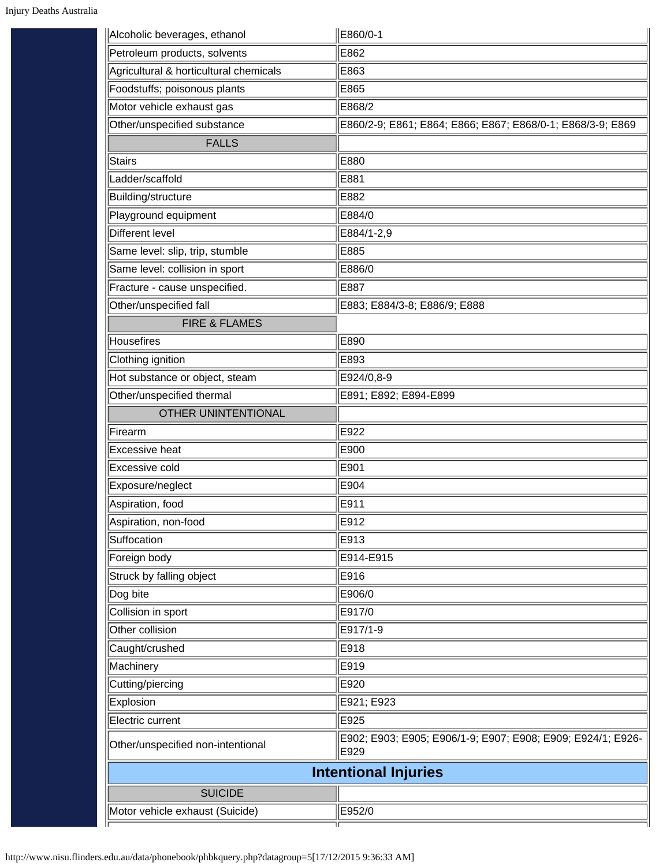| Alcoholic beverages, ethanol           | E860/0-1                                                            |
|----------------------------------------|---------------------------------------------------------------------|
| Petroleum products, solvents           | E862                                                                |
| Agricultural & horticultural chemicals | E863                                                                |
| Foodstuffs; poisonous plants           | E865                                                                |
| Motor vehicle exhaust gas              | E868/2                                                              |
| Other/unspecified substance            | E860/2-9; E861; E864; E866; E867; E868/0-1; E868/3-9; E869          |
| <b>FALLS</b>                           |                                                                     |
| <b>Stairs</b>                          | E880                                                                |
| Ladder/scaffold                        | E881                                                                |
| Building/structure                     | E882                                                                |
| Playground equipment                   | E884/0                                                              |
| Different level                        | E884/1-2,9                                                          |
| Same level: slip, trip, stumble        | E885                                                                |
| Same level: collision in sport         | E886/0                                                              |
| Fracture - cause unspecified.          | E887                                                                |
| Other/unspecified fall                 | E883; E884/3-8; E886/9; E888                                        |
| <b>FIRE &amp; FLAMES</b>               |                                                                     |
| Housefires                             | E890                                                                |
| Clothing ignition                      | E893                                                                |
| Hot substance or object, steam         | E924/0,8-9                                                          |
| Other/unspecified thermal              | E891; E892; E894-E899                                               |
| OTHER UNINTENTIONAL                    |                                                                     |
| Firearm                                | E922                                                                |
| Excessive heat                         | E900                                                                |
| Excessive cold                         | E901                                                                |
| Exposure/neglect                       | E904                                                                |
| Aspiration, food                       | E911                                                                |
| Aspiration, non-food                   | E912                                                                |
| Suffocation                            | E913                                                                |
| Foreign body                           | E914-E915                                                           |
| Struck by falling object               | E916                                                                |
| Dog bite                               | E906/0                                                              |
| Collision in sport                     | E917/0                                                              |
| Other collision                        | E917/1-9                                                            |
| Caught/crushed                         | E918                                                                |
| Machinery                              | E919                                                                |
| Cutting/piercing                       | E920                                                                |
| Explosion                              | E921; E923                                                          |
| Electric current                       | E925                                                                |
| Other/unspecified non-intentional      | E902; E903; E905; E906/1-9; E907; E908; E909; E924/1; E926-<br>E929 |
|                                        | <b>Intentional Injuries</b>                                         |
| <b>SUICIDE</b>                         |                                                                     |
| Motor vehicle exhaust (Suicide)        | E952/0                                                              |
|                                        |                                                                     |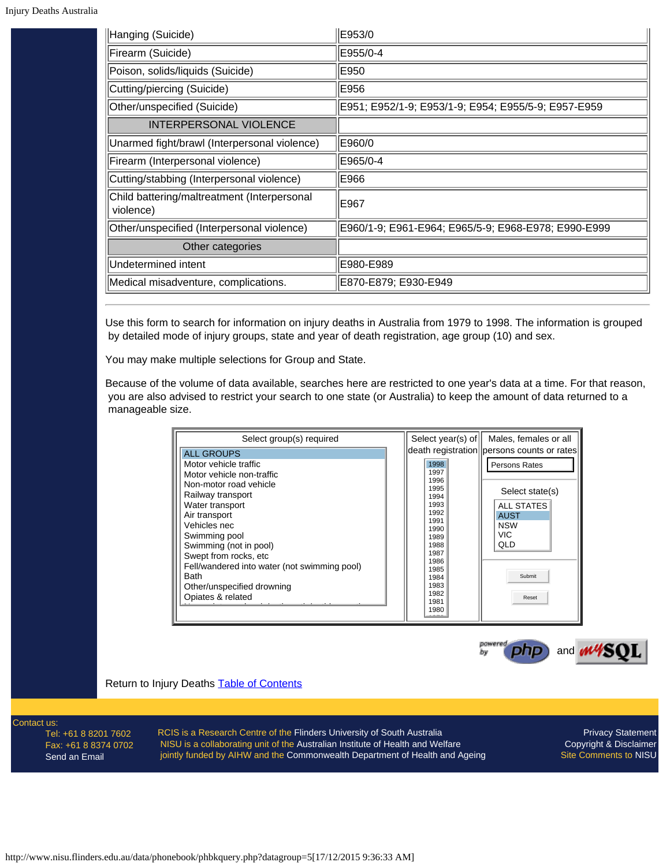| Hanging (Suicide)                                        | E953/0                                              |
|----------------------------------------------------------|-----------------------------------------------------|
| Firearm (Suicide)                                        | E955/0-4                                            |
| Poison, solids/liquids (Suicide)                         | E950                                                |
| Cutting/piercing (Suicide)                               | E956                                                |
| Other/unspecified (Suicide)                              | E951; E952/1-9; E953/1-9; E954; E955/5-9; E957-E959 |
| <b>INTERPERSONAL VIOLENCE</b>                            |                                                     |
| Unarmed fight/brawl (Interpersonal violence)             | E960/0                                              |
| Firearm (Interpersonal violence)                         | E965/0-4                                            |
| Cutting/stabbing (Interpersonal violence)                | E966                                                |
| Child battering/maltreatment (Interpersonal<br>violence) | E967                                                |
| Other/unspecified (Interpersonal violence)               | E960/1-9; E961-E964; E965/5-9; E968-E978; E990-E999 |
| Other categories                                         |                                                     |
| Undetermined intent                                      | E980-E989                                           |
| Medical misadventure, complications.                     | E870-E879; E930-E949                                |

<span id="page-19-0"></span>Use this form to search for information on injury deaths in Australia from 1979 to 1998. The information is grouped by detailed mode of injury groups, state and year of death registration, age group (10) and sex.

You may make multiple selections for Group and State.

Because of the volume of data available, searches here are restricted to one year's data at a time. For that reason, you are also advised to restrict your search to one state (or Australia) to keep the amount of data returned to a manageable size.

| Select group(s) required                                    | Select year(s) of            | Males, females or all                      |
|-------------------------------------------------------------|------------------------------|--------------------------------------------|
| <b>ALL GROUPS</b>                                           |                              | death registration persons counts or rates |
| Motor vehicle traffic<br>Motor vehicle non-traffic          | 1998<br>1997                 | Persons Rates                              |
| Non-motor road vehicle<br>Railway transport                 | 1996<br>1995<br>1994         | Select state(s)                            |
| Water transport<br>Air transport                            | 1993<br>1992<br>1991         | <b>ALL STATES</b><br><b>AUST</b>           |
| Vehicles nec<br>Swimming pool                               | 1990<br>1989                 | <b>NSW</b><br><b>VIC</b>                   |
| Swimming (not in pool)<br>Swept from rocks, etc             | 1988<br>1987<br>1986         | QLD                                        |
| Fell/wandered into water (not swimming pool)<br><b>Bath</b> | 1985<br>1984                 | Submit                                     |
| Other/unspecified drowning<br>Opiates & related             | 1983<br>1982<br>1981<br>1980 | Reset                                      |
|                                                             |                              |                                            |



Return to Injury Deaths **Table of Contents** 

Contact us:

Tel: +61 8 8201 7602 Fax: +61 8 8374 0702 [Send an Email](mailto:nisu@flinders.edu.au)

RCIS is a Research Centre of the [Flinders University of South Australia](http://www.flinders.edu.au/) NISU is a collaborating unit of the [Australian Institute of Health and Welfare](http://www.aihw.gov.au/) jointly funded by AIHW and the [Commonwealth Department of Health and Ageing](http://www.health.gov.au/)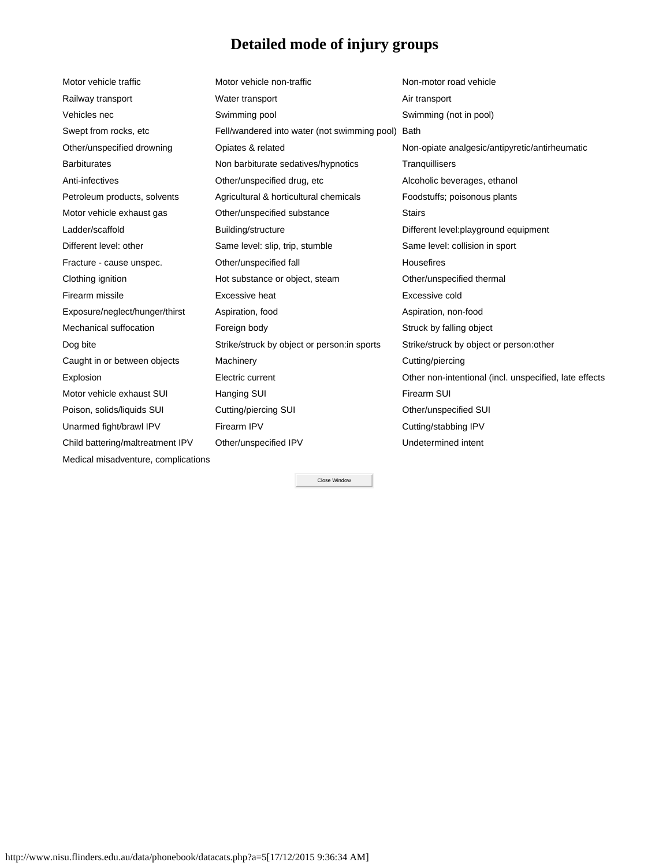# **Detailed mode of injury groups**

<span id="page-20-0"></span>

| Motor vehicle traffic               | Motor vehicle non-traffic                    | Non-motor road vehicle                                 |
|-------------------------------------|----------------------------------------------|--------------------------------------------------------|
| Railway transport                   | Water transport                              | Air transport                                          |
| Vehicles nec                        | Swimming pool                                | Swimming (not in pool)                                 |
| Swept from rocks, etc               | Fell/wandered into water (not swimming pool) | Bath                                                   |
| Other/unspecified drowning          | Opiates & related                            | Non-opiate analgesic/antipyretic/antirheumatic         |
| <b>Barbiturates</b>                 | Non barbiturate sedatives/hypnotics          | Tranquillisers                                         |
| Anti-infectives                     | Other/unspecified drug, etc                  | Alcoholic beverages, ethanol                           |
| Petroleum products, solvents        | Agricultural & horticultural chemicals       | Foodstuffs; poisonous plants                           |
| Motor vehicle exhaust gas           | Other/unspecified substance                  | <b>Stairs</b>                                          |
| Ladder/scaffold                     | Building/structure                           | Different level: playground equipment                  |
| Different level: other              | Same level: slip, trip, stumble              | Same level: collision in sport                         |
| Fracture - cause unspec.            | Other/unspecified fall                       | <b>Housefires</b>                                      |
| Clothing ignition                   | Hot substance or object, steam               | Other/unspecified thermal                              |
| Firearm missile                     | Excessive heat                               | Excessive cold                                         |
| Exposure/neglect/hunger/thirst      | Aspiration, food                             | Aspiration, non-food                                   |
| Mechanical suffocation              | Foreign body                                 | Struck by falling object                               |
| Dog bite                            | Strike/struck by object or person: in sports | Strike/struck by object or person: other               |
| Caught in or between objects        | Machinery                                    | Cutting/piercing                                       |
| Explosion                           | Electric current                             | Other non-intentional (incl. unspecified, late effects |
| Motor vehicle exhaust SUI           | Hanging SUI                                  | Firearm SUI                                            |
| Poison, solids/liquids SUI          | Cutting/piercing SUI                         | Other/unspecified SUI                                  |
| Unarmed fight/brawl IPV             | Firearm IPV                                  | Cutting/stabbing IPV                                   |
| Child battering/maltreatment IPV    | Other/unspecified IPV                        | Undetermined intent                                    |
| Medical misadventure, complications |                                              |                                                        |

Close Window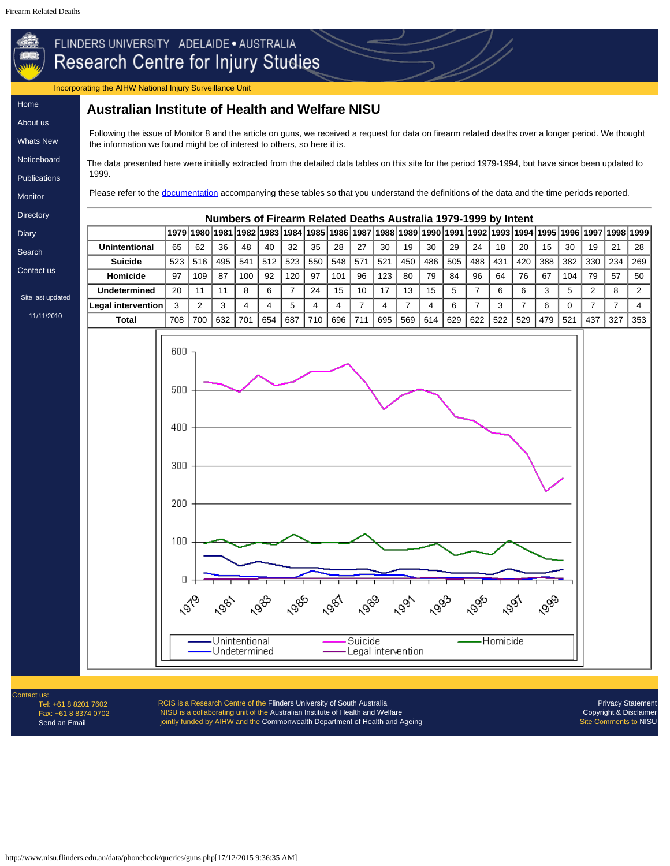### <span id="page-21-0"></span>Incorporating the AIHW National Injury Surveillance Unit

# [Home](http://www.nisu.flinders.edu.au/index.php) [About](http://www.nisu.flinders.edu.au/about.php) us

[Whats](http://www.nisu.flinders.edu.au/wotsnew.php) New [Noticeboard](http://www.nisu.flinders.edu.au/nb.php) **[Publications](http://www.nisu.flinders.edu.au/publications.php)** [Monitor](http://www.nisu.flinders.edu.au/monitor/index.php)

**Australian Institute of Health and Welfare NISU**

Following the issue of Monitor 8 and the article on guns, we received a request for data on firearm related deaths over a longer period. We thought the information we found might be of interest to others, so here it is.

The data presented here were initially extracted from the detailed data tables on this site for the period 1979-1994, but have since been updated to 1999.

Please refer to the [documentation](#page-0-1) accompanying these tables so that you understand the definitions of the data and the time periods reported.

**[Directory](http://www.nisu.flinders.edu.au/injdirect/index.php) [Diary](http://www.nisu.flinders.edu.au/diary.php)** 

[Search](http://www.nisu.flinders.edu.au/search.php)

[Contact](http://www.nisu.flinders.edu.au/contact.php) us

Site last updated [11/11/2010](http://www.nisu.flinders.edu.au/pubs/reports/2010/injcat134.php)





Contact us Tel: +61 8 8201 7602 Fax: +61 8 8374 0702 [Send an Email](mailto:nisu@flinders.edu.au)

RCIS is a Research Centre of the [Flinders University of South Australia](http://www.flinders.edu.au/) NISU is a collaborating unit of the [Australian Institute of Health and Welfare](http://www.aihw.gov.au/) jointly funded by AIHW and the [Commonwealth Department of Health and Ageing](http://www.health.gov.au/)

[Privacy Statement](http://www.nisu.flinders.edu.au/privacy.php) [Copyright & Disclaimer](http://www.nisu.flinders.edu.au/copy.php) Site Comments to [NISU](mailto:nisu@flinders.edu.au)

http://www.nisu.flinders.edu.au/data/phonebook/queries/guns.php[17/12/2015 9:36:35 AM]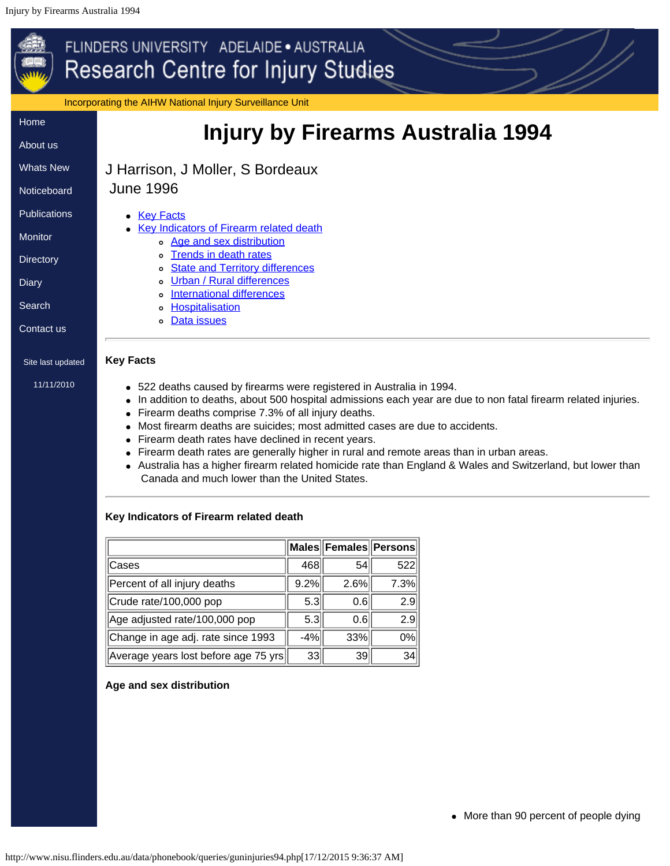## <span id="page-22-0"></span>FLINDERS UNIVERSITY ADELAIDE · AUSTRALIA **Research Centre for Injury Studies** Incorporating the AIHW National Injury Surveillance Unit [Home](http://www.nisu.flinders.edu.au/index.php) **Injury by Firearms Australia 1994** [About](http://www.nisu.flinders.edu.au/about.php) us [Whats](http://www.nisu.flinders.edu.au/wotsnew.php) New J Harrison, J Moller, S Bordeaux June 1996 **[Noticeboard](http://www.nisu.flinders.edu.au/nb.php) [Publications](http://www.nisu.flinders.edu.au/publications.php)** • [Key Facts](#page-22-1) [Key Indicators of Firearm related death](#page-22-2) [Monitor](http://www.nisu.flinders.edu.au/monitor/index.php) [Age and sex distribution](#page-22-3) o [Trends in death rates](#page-23-0) **[Directory](http://www.nisu.flinders.edu.au/injdirect/index.php)** o [State and Territory differences](#page-24-0) o [Urban / Rural differences](#page-25-0) **[Diary](http://www.nisu.flinders.edu.au/diary.php)** o [International differences](#page-25-1) **[Search](http://www.nisu.flinders.edu.au/search.php)** o **[Hospitalisation](#page-26-0)** o [Data issues](#page-27-0) [Contact](http://www.nisu.flinders.edu.au/contact.php) us **Key Facts** Site last updated [11/11/2010](http://www.nisu.flinders.edu.au/pubs/reports/2010/injcat134.php) 522 deaths caused by firearms were registered in Australia in 1994. In addition to deaths, about 500 hospital admissions each year are due to non fatal firearm related injuries.

- <span id="page-22-1"></span>• Firearm deaths comprise 7.3% of all injury deaths.
- Most firearm deaths are suicides; most admitted cases are due to accidents.
- Firearm death rates have declined in recent years.
- Firearm death rates are generally higher in rural and remote areas than in urban areas.
- Australia has a higher firearm related homicide rate than England & Wales and Switzerland, but lower than Canada and much lower than the United States.

# <span id="page-22-2"></span>**Key Indicators of Firearm related death**

|                                      |       | Males Females Persons |      |
|--------------------------------------|-------|-----------------------|------|
| Cases                                | 468   | 54                    | 522  |
| Percent of all injury deaths         | 9.2%  | 2.6%                  | 7.3% |
| Crude rate/100,000 pop               | 5.3   | 0.6                   | 2.9  |
| Age adjusted rate/100,000 pop        | 5.3   | 0.6                   | 2.9  |
| Change in age adj. rate since 1993   | $-4%$ | 33%                   | 0%   |
| Average years lost before age 75 yrs | 33    | 39                    | 34   |

# <span id="page-22-3"></span>**Age and sex distribution**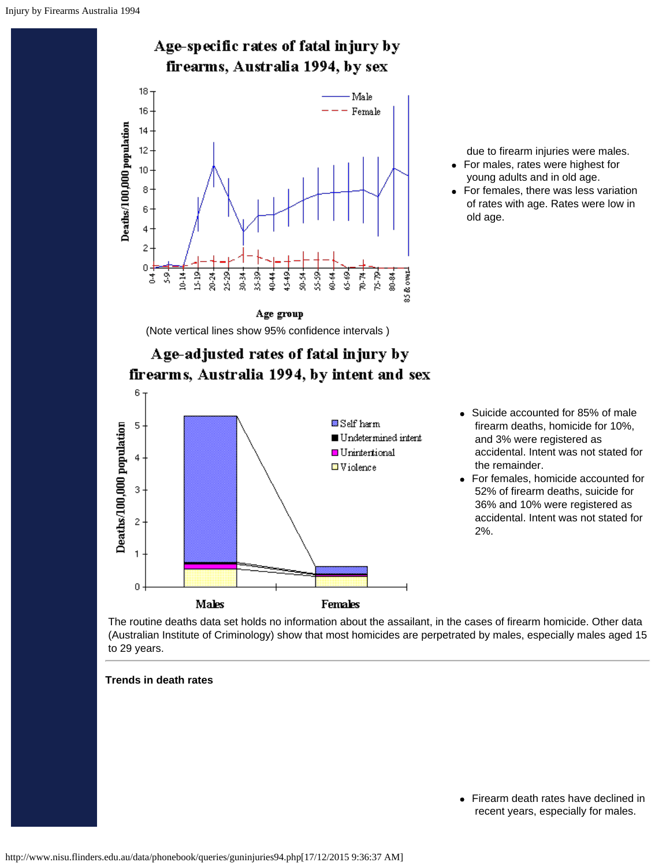

due to firearm injuries were males.

- For males, rates were highest for young adults and in old age.
- For females, there was less variation of rates with age. Rates were low in old age.

Suicide accounted for 85% of male firearm deaths, homicide for 10%, and 3% were registered as

accidental. Intent was not stated for

For females, homicide accounted for 52% of firearm deaths, suicide for 36% and 10% were registered as accidental. Intent was not stated for

the remainder.

2%.

 $\bullet$ 

The routine deaths data set holds no information about the assailant, in the cases of firearm homicide. Other data (Australian Institute of Criminology) show that most homicides are perpetrated by males, especially males aged 15 to 29 years.

## <span id="page-23-0"></span>**Trends in death rates**

Firearm death rates have declined in  $\bullet$ recent years, especially for males.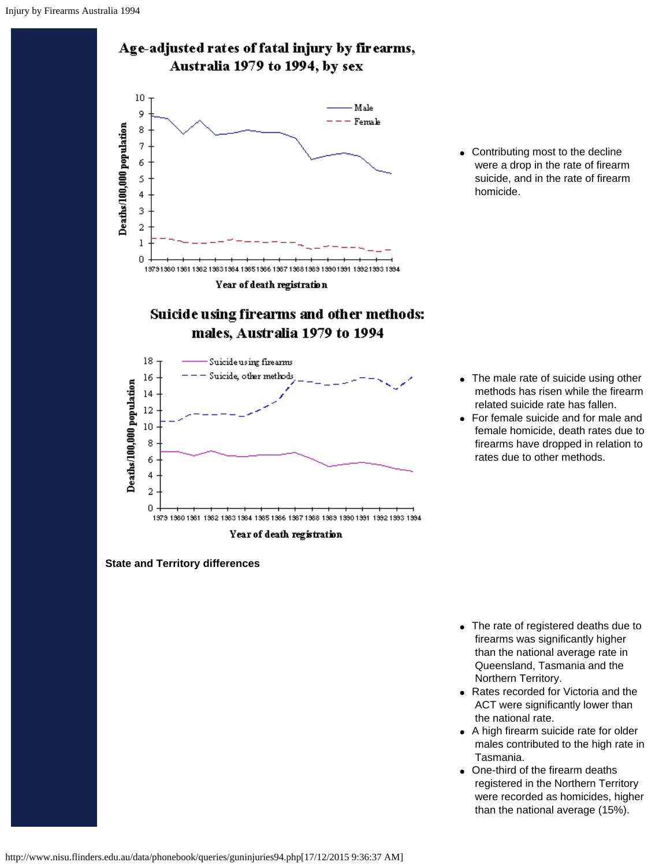

• Contributing most to the decline were a drop in the rate of firearm suicide, and in the rate of firearm homicide.

- The male rate of suicide using other methods has risen while the firearm related suicide rate has fallen.
- For female suicide and for male and female homicide, death rates due to firearms have dropped in relation to rates due to other methods.

- <span id="page-24-0"></span>• The rate of registered deaths due to firearms was significantly higher than the national average rate in Queensland, Tasmania and the Northern Territory.
- Rates recorded for Victoria and the ACT were significantly lower than the national rate.
- A high firearm suicide rate for older males contributed to the high rate in Tasmania.
- One-third of the firearm deaths registered in the Northern Territory were recorded as homicides, higher than the national average (15%).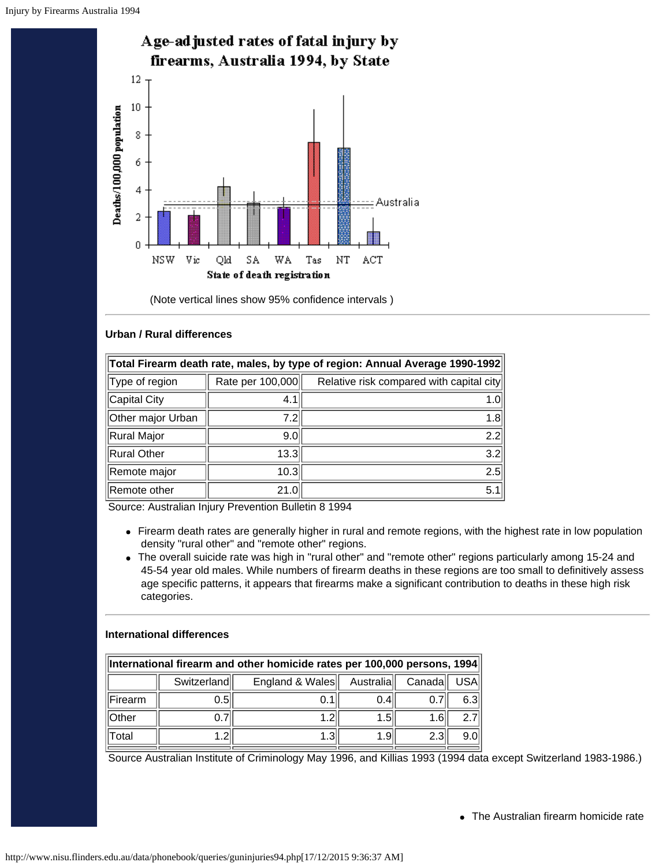

(Note vertical lines show 95% confidence intervals )

## <span id="page-25-0"></span>**Urban / Rural differences**

| Total Firearm death rate, males, by type of region: Annual Average 1990-1992 |                  |                                          |  |  |
|------------------------------------------------------------------------------|------------------|------------------------------------------|--|--|
| Type of region                                                               | Rate per 100,000 | Relative risk compared with capital city |  |  |
| Capital City                                                                 | 4.1              | 1.0                                      |  |  |
| Other major Urban                                                            | 7.21             | 1.8                                      |  |  |
| Rural Major                                                                  | 9.0              | 2.2                                      |  |  |
| Rural Other                                                                  | 13.3             | 3.2                                      |  |  |
| Remote major                                                                 | 10.3             | 2.5                                      |  |  |
| Remote other                                                                 | 21.0             | 5.1                                      |  |  |

Source: Australian Injury Prevention Bulletin 8 1994

- Firearm death rates are generally higher in rural and remote regions, with the highest rate in low population density "rural other" and "remote other" regions.
- The overall suicide rate was high in "rural other" and "remote other" regions particularly among 15-24 and 45-54 year old males. While numbers of firearm deaths in these regions are too small to definitively assess age specific patterns, it appears that firearms make a significant contribution to deaths in these high risk categories.

### <span id="page-25-1"></span>**International differences**

| International firearm and other homicide rates per 100,000 persons, 1994 |      |  |       |                  |      |  |
|--------------------------------------------------------------------------|------|--|-------|------------------|------|--|
| England & Wales<br>USA.<br>Switzerland<br>Australia  <br>Canada          |      |  |       |                  |      |  |
| Firearm                                                                  | 0.51 |  | (0.4) |                  | 6.3  |  |
| <b>Other</b>                                                             |      |  | 1.5   | 1.61             |      |  |
| <b>Total</b>                                                             |      |  | 1.91  | 2.3 <sub>1</sub> | 9.01 |  |

Source Australian Institute of Criminology May 1996, and Killias 1993 (1994 data except Switzerland 1983-1986.)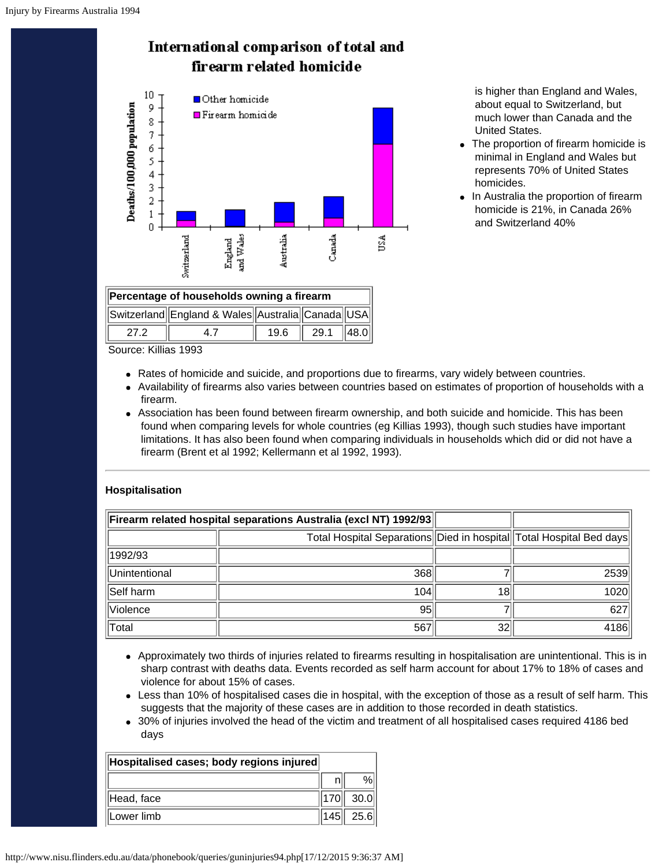



**Percentage of households owning a firearm**

Switzerland England & Wales Australia Canada USA 27.2 || 4.7 || 19.6 || 29.1 ||48.0

 is higher than England and Wales, about equal to Switzerland, but much lower than Canada and the United States.

- The proportion of firearm homicide is minimal in England and Wales but represents 70% of United States homicides.
- In Australia the proportion of firearm homicide is 21%, in Canada 26% and Switzerland 40%

Source: Killias 1993

- Rates of homicide and suicide, and proportions due to firearms, vary widely between countries.
- Availability of firearms also varies between countries based on estimates of proportion of households with a firearm.
- Association has been found between firearm ownership, and both suicide and homicide. This has been found when comparing levels for whole countries (eg Killias 1993), though such studies have important limitations. It has also been found when comparing individuals in households which did or did not have a firearm (Brent et al 1992; Kellermann et al 1992, 1993).

## <span id="page-26-0"></span>**Hospitalisation**

| Firearm related hospital separations Australia (excl NT) 1992/93 |                                                                     |    |      |
|------------------------------------------------------------------|---------------------------------------------------------------------|----|------|
|                                                                  | Total Hospital Separations Died in hospital Total Hospital Bed days |    |      |
| 1992/93                                                          |                                                                     |    |      |
| Unintentional                                                    | 368                                                                 |    | 2539 |
| Self harm                                                        | 104                                                                 | 18 | 1020 |
| Violence                                                         | 95                                                                  |    | 627  |
| Total                                                            | 567                                                                 | 32 | 4186 |

- Approximately two thirds of injuries related to firearms resulting in hospitalisation are unintentional. This is in sharp contrast with deaths data. Events recorded as self harm account for about 17% to 18% of cases and violence for about 15% of cases.
- Less than 10% of hospitalised cases die in hospital, with the exception of those as a result of self harm. This suggests that the majority of these cases are in addition to those recorded in death statistics.
- 30% of injuries involved the head of the victim and treatment of all hospitalised cases required 4186 bed days

| Hospitalised cases; body regions injured |                |
|------------------------------------------|----------------|
|                                          |                |
| Head, face                               | 170   30.0     |
| Lower limb                               | $\ 145\ $ 25.6 |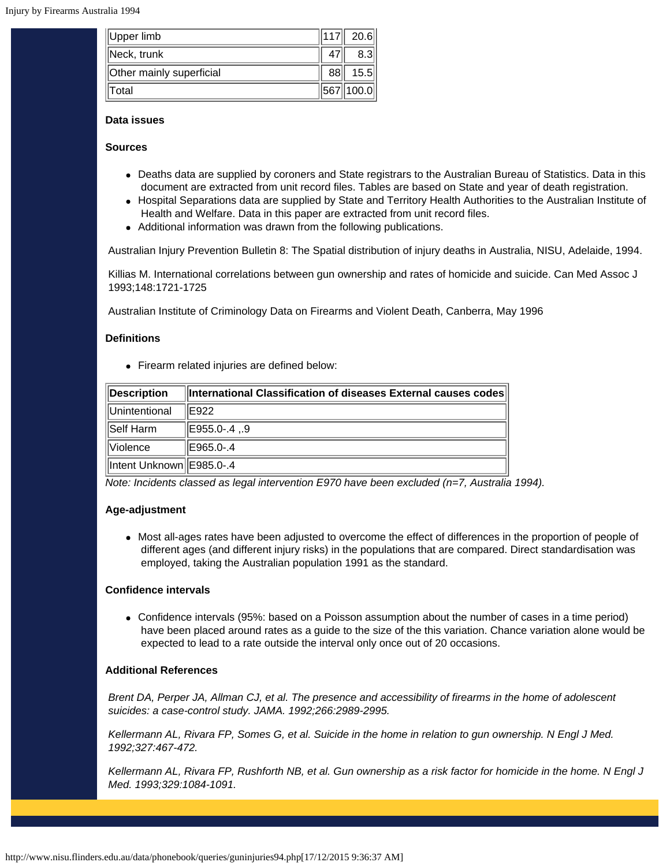| Upper limb               | $ 117 $ 20.6 |
|--------------------------|--------------|
| Neck, trunk              |              |
| Other mainly superficial | 15.5         |
| Total                    | 567 100.0    |

## <span id="page-27-0"></span>**Data issues**

## **Sources**

- Deaths data are supplied by coroners and State registrars to the Australian Bureau of Statistics. Data in this document are extracted from unit record files. Tables are based on State and year of death registration.
- Hospital Separations data are supplied by State and Territory Health Authorities to the Australian Institute of Health and Welfare. Data in this paper are extracted from unit record files.
- Additional information was drawn from the following publications.

Australian Injury Prevention Bulletin 8: The Spatial distribution of injury deaths in Australia, NISU, Adelaide, 1994.

Killias M. International correlations between gun ownership and rates of homicide and suicide. Can Med Assoc J 1993;148:1721-1725

Australian Institute of Criminology Data on Firearms and Violent Death, Canberra, May 1996

## **Definitions**

Firearm related injuries are defined below:

| Description                | International Classification of diseases External causes codes |
|----------------------------|----------------------------------------------------------------|
| Unintentional              | E922                                                           |
| Self Harm                  | E955.0-.4 ,.9                                                  |
| <b>Violence</b>            | E965.0-.4                                                      |
| Intent Unknown   E985.0-.4 |                                                                |

*Note: Incidents classed as legal intervention E970 have been excluded (n=7, Australia 1994).*

## **Age-adjustment**

Most all-ages rates have been adjusted to overcome the effect of differences in the proportion of people of different ages (and different injury risks) in the populations that are compared. Direct standardisation was employed, taking the Australian population 1991 as the standard.

## **Confidence intervals**

Confidence intervals (95%: based on a Poisson assumption about the number of cases in a time period) have been placed around rates as a guide to the size of the this variation. Chance variation alone would be expected to lead to a rate outside the interval only once out of 20 occasions.

## **Additional References**

*Brent DA, Perper JA, Allman CJ, et al. The presence and accessibility of firearms in the home of adolescent suicides: a case-control study. JAMA. 1992;266:2989-2995.*

*Kellermann AL, Rivara FP, Somes G, et al. Suicide in the home in relation to gun ownership. N Engl J Med. 1992;327:467-472.*

*Kellermann AL, Rivara FP, Rushforth NB, et al. Gun ownership as a risk factor for homicide in the home. N Engl J Med. 1993;329:1084-1091.*